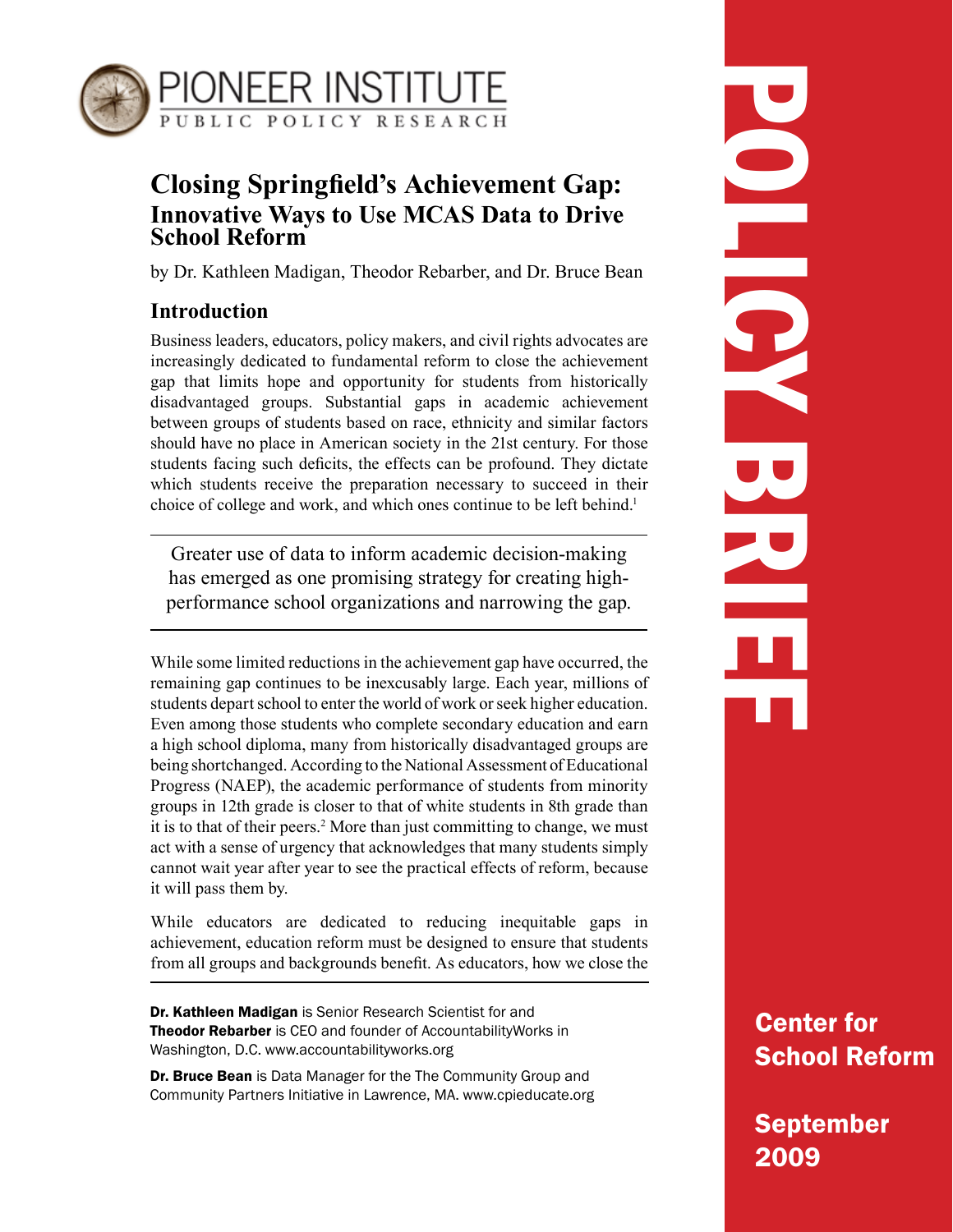

# **Closing Springfield's Achievement Gap: Innovative Ways to Use MCAS Data to Drive School Reform**

by Dr. Kathleen Madigan, Theodor Rebarber, and Dr. Bruce Bean

# **Introduction**

Business leaders, educators, policy makers, and civil rights advocates are increasingly dedicated to fundamental reform to close the achievement gap that limits hope and opportunity for students from historically disadvantaged groups. Substantial gaps in academic achievement between groups of students based on race, ethnicity and similar factors should have no place in American society in the 21st century. For those students facing such deficits, the effects can be profound. They dictate which students receive the preparation necessary to succeed in their choice of college and work, and which ones continue to be left behind.<sup>1</sup>

Greater use of data to inform academic decision-making has emerged as one promising strategy for creating highperformance school organizations and narrowing the gap.

While some limited reductions in the achievement gap have occurred, the remaining gap continues to be inexcusably large. Each year, millions of students depart school to enter the world of work or seek higher education. Even among those students who complete secondary education and earn a high school diploma, many from historically disadvantaged groups are being shortchanged. According to the National Assessment of Educational Progress (NAEP), the academic performance of students from minority groups in 12th grade is closer to that of white students in 8th grade than it is to that of their peers.<sup>2</sup> More than just committing to change, we must act with a sense of urgency that acknowledges that many students simply cannot wait year after year to see the practical effects of reform, because it will pass them by.

While educators are dedicated to reducing inequitable gaps in achievement, education reform must be designed to ensure that students from all groups and backgrounds benefit. As educators, how we close the

Dr. Kathleen Madigan is Senior Research Scientist for and **Theodor Rebarber** is CEO and founder of Accountability Works in Washington, D.C. www.accountabilityworks.org

Dr. Bruce Bean is Data Manager for the The Community Group and Community Partners Initiative in Lawrence, MA. www.cpieducate.org

# POLICY BRIEF DO LOC

Center for School Reform

September 2009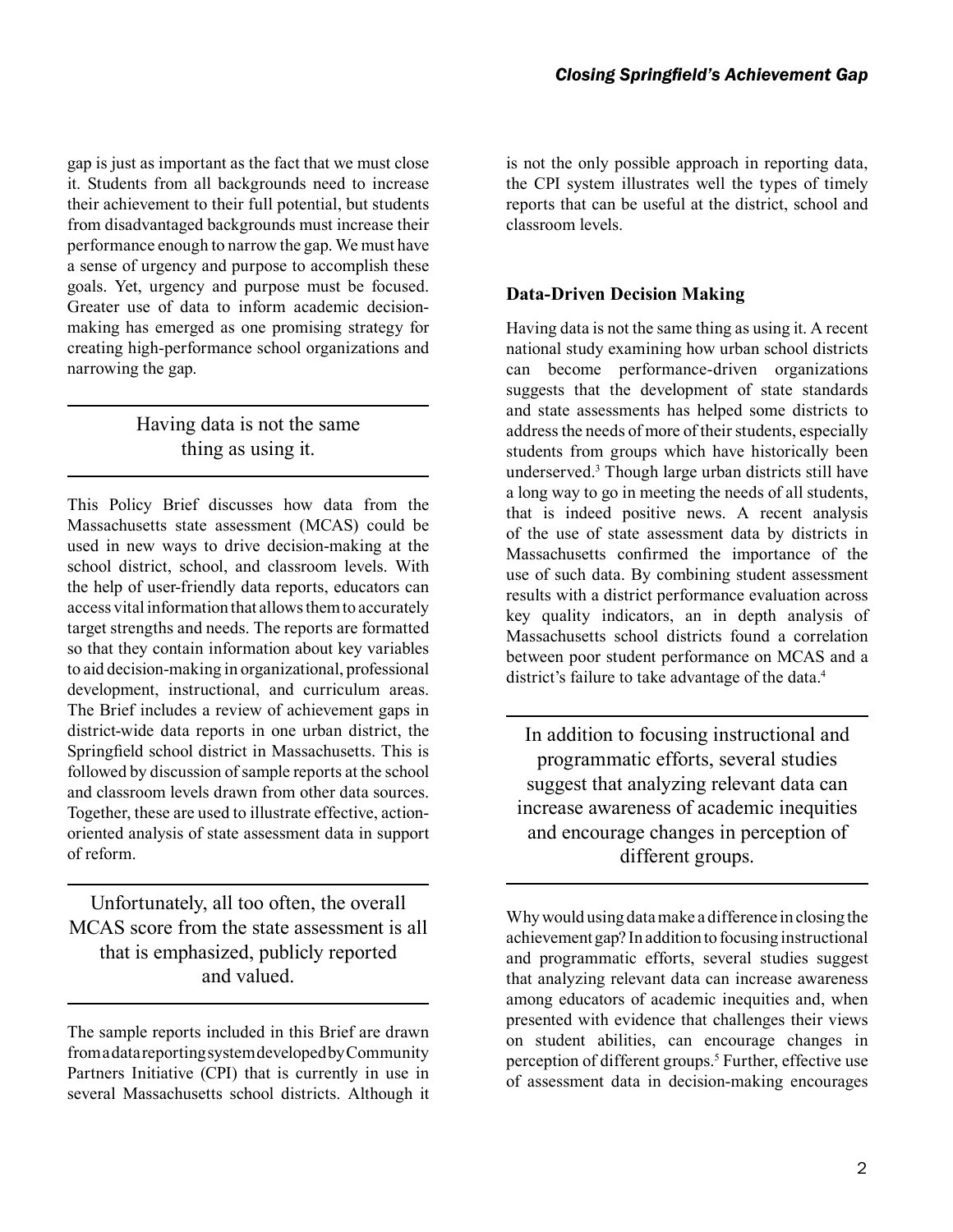gap is just as important as the fact that we must close it. Students from all backgrounds need to increase their achievement to their full potential, but students from disadvantaged backgrounds must increase their performance enough to narrow the gap. We must have a sense of urgency and purpose to accomplish these goals. Yet, urgency and purpose must be focused. Greater use of data to inform academic decisionmaking has emerged as one promising strategy for creating high-performance school organizations and narrowing the gap.

# Having data is not the same thing as using it.

This Policy Brief discusses how data from the Massachusetts state assessment (MCAS) could be used in new ways to drive decision-making at the school district, school, and classroom levels. With the help of user-friendly data reports, educators can access vital information that allows them to accurately target strengths and needs. The reports are formatted so that they contain information about key variables to aid decision-making in organizational, professional development, instructional, and curriculum areas. The Brief includes a review of achievement gaps in district-wide data reports in one urban district, the Springfield school district in Massachusetts. This is followed by discussion of sample reports at the school and classroom levels drawn from other data sources. Together, these are used to illustrate effective, actionoriented analysis of state assessment data in support of reform.

Unfortunately, all too often, the overall MCAS score from the state assessment is all that is emphasized, publicly reported and valued.

The sample reports included in this Brief are drawn from a data reporting system developed by Community Partners Initiative (CPI) that is currently in use in several Massachusetts school districts. Although it is not the only possible approach in reporting data, the CPI system illustrates well the types of timely reports that can be useful at the district, school and classroom levels.

## **Data-Driven Decision Making**

Having data is not the same thing as using it. A recent national study examining how urban school districts can become performance-driven organizations suggests that the development of state standards and state assessments has helped some districts to address the needs of more of their students, especially students from groups which have historically been underserved.3 Though large urban districts still have a long way to go in meeting the needs of all students, that is indeed positive news. A recent analysis of the use of state assessment data by districts in Massachusetts confirmed the importance of the use of such data. By combining student assessment results with a district performance evaluation across key quality indicators, an in depth analysis of Massachusetts school districts found a correlation between poor student performance on MCAS and a district's failure to take advantage of the data.<sup>4</sup>

In addition to focusing instructional and programmatic efforts, several studies suggest that analyzing relevant data can increase awareness of academic inequities and encourage changes in perception of different groups.

Why would using data make a difference in closing the achievement gap? In addition to focusing instructional and programmatic efforts, several studies suggest that analyzing relevant data can increase awareness among educators of academic inequities and, when presented with evidence that challenges their views on student abilities, can encourage changes in perception of different groups.<sup>5</sup> Further, effective use of assessment data in decision-making encourages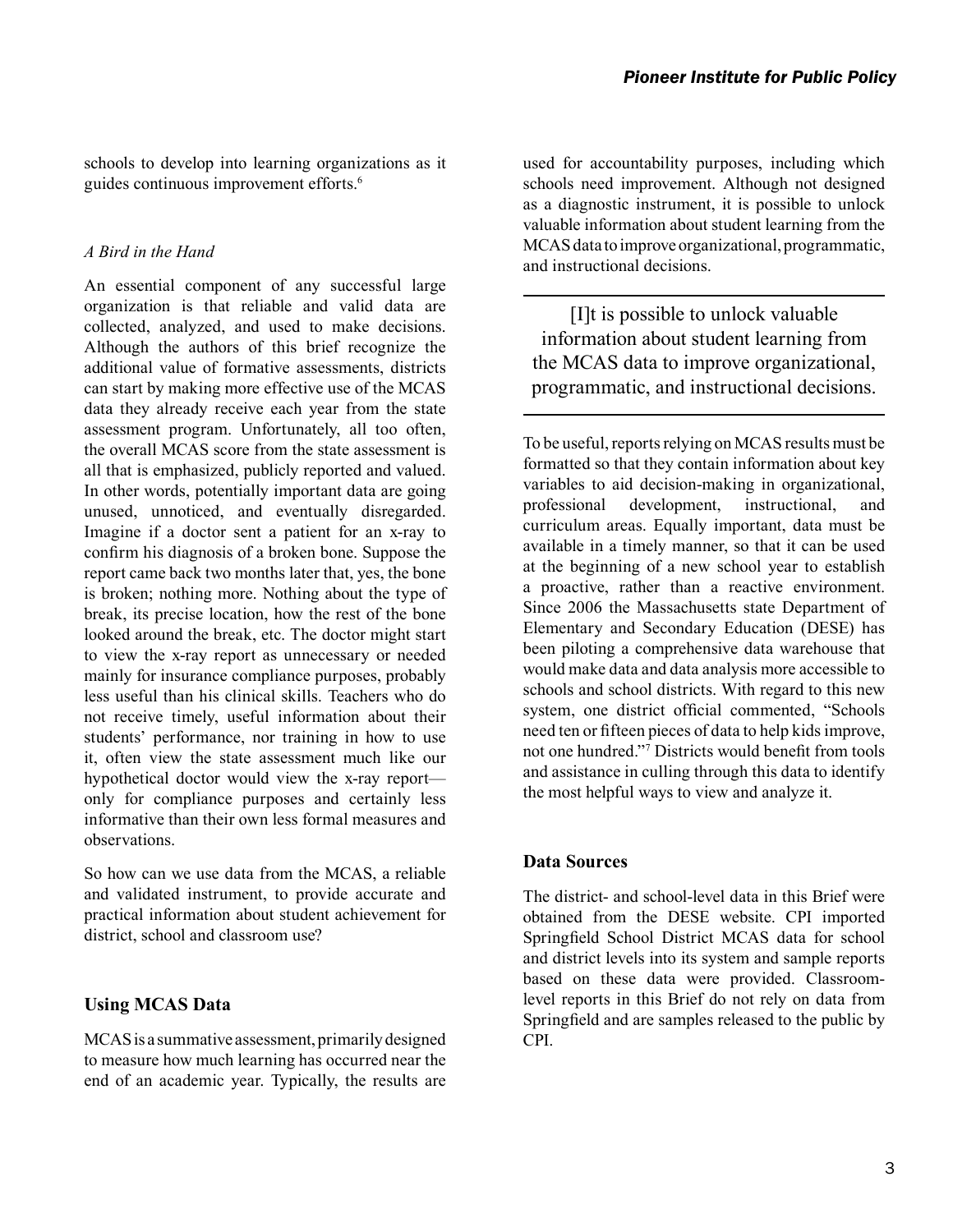schools to develop into learning organizations as it guides continuous improvement efforts.<sup>6</sup>

#### *A Bird in the Hand*

An essential component of any successful large organization is that reliable and valid data are collected, analyzed, and used to make decisions. Although the authors of this brief recognize the additional value of formative assessments, districts can start by making more effective use of the MCAS data they already receive each year from the state assessment program. Unfortunately, all too often, the overall MCAS score from the state assessment is all that is emphasized, publicly reported and valued. In other words, potentially important data are going unused, unnoticed, and eventually disregarded. Imagine if a doctor sent a patient for an x-ray to confirm his diagnosis of a broken bone. Suppose the report came back two months later that, yes, the bone is broken; nothing more. Nothing about the type of break, its precise location, how the rest of the bone looked around the break, etc. The doctor might start to view the x-ray report as unnecessary or needed mainly for insurance compliance purposes, probably less useful than his clinical skills. Teachers who do not receive timely, useful information about their students' performance, nor training in how to use it, often view the state assessment much like our hypothetical doctor would view the x-ray report only for compliance purposes and certainly less informative than their own less formal measures and observations.

So how can we use data from the MCAS, a reliable and validated instrument, to provide accurate and practical information about student achievement for district, school and classroom use?

#### **Using MCAS Data**

MCAS is a summative assessment, primarily designed to measure how much learning has occurred near the end of an academic year. Typically, the results are used for accountability purposes, including which schools need improvement. Although not designed as a diagnostic instrument, it is possible to unlock valuable information about student learning from the MCAS data to improve organizational, programmatic, and instructional decisions.

[I]t is possible to unlock valuable information about student learning from the MCAS data to improve organizational, programmatic, and instructional decisions.

To be useful, reports relying on MCAS results must be formatted so that they contain information about key variables to aid decision-making in organizational, professional development, instructional, and curriculum areas. Equally important, data must be available in a timely manner, so that it can be used at the beginning of a new school year to establish a proactive, rather than a reactive environment. Since 2006 the Massachusetts state Department of Elementary and Secondary Education (DESE) has been piloting a comprehensive data warehouse that would make data and data analysis more accessible to schools and school districts. With regard to this new system, one district official commented, "Schools need ten or fifteen pieces of data to help kids improve, not one hundred."7 Districts would benefit from tools and assistance in culling through this data to identify the most helpful ways to view and analyze it.

#### **Data Sources**

The district- and school-level data in this Brief were obtained from the DESE website. CPI imported Springfield School District MCAS data for school and district levels into its system and sample reports based on these data were provided. Classroomlevel reports in this Brief do not rely on data from Springfield and are samples released to the public by CPI.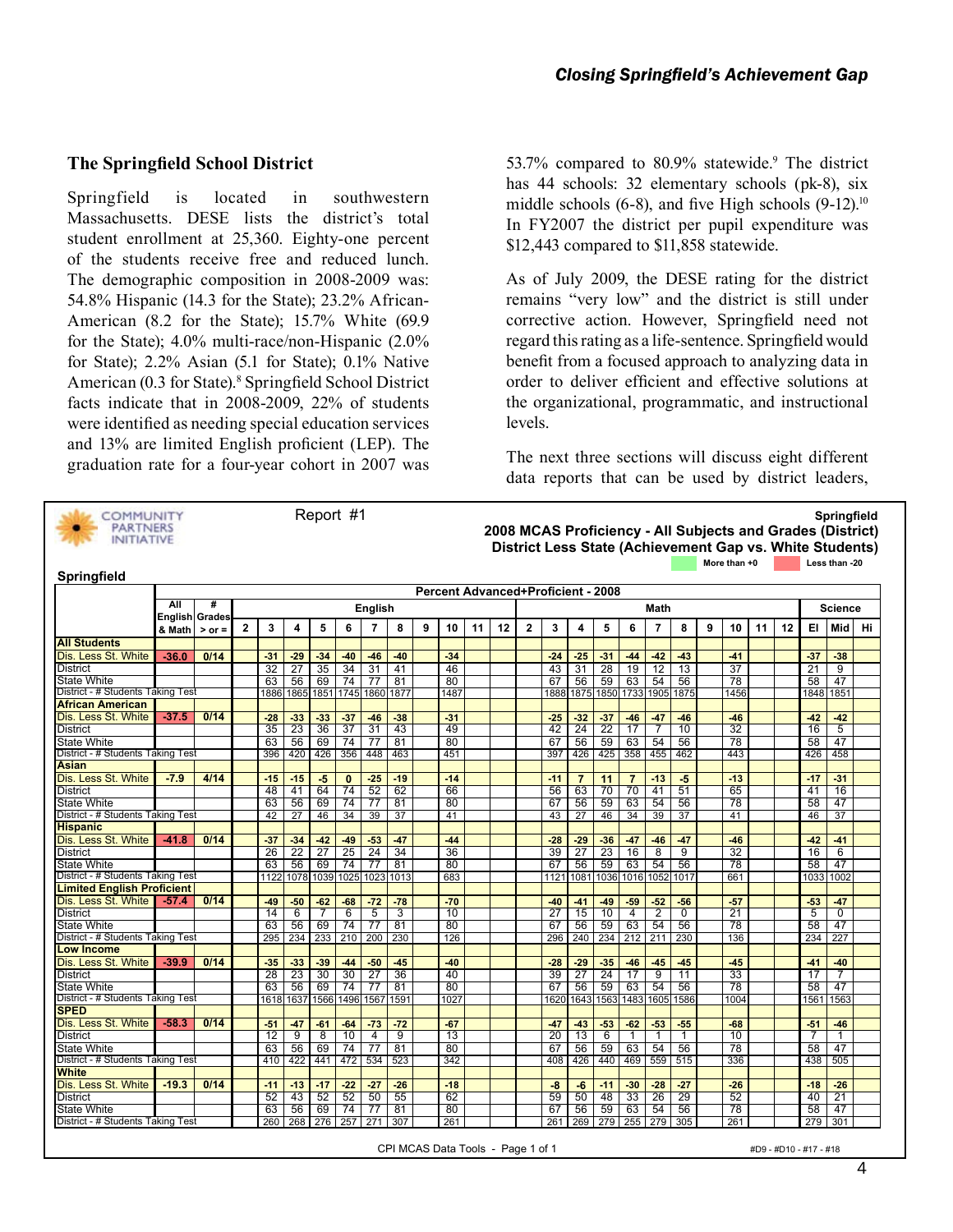#### **The Springfield School District**

Springfield is located in southwestern Massachusetts. DESE lists the district's total student enrollment at 25,360. Eighty-one percent of the students receive free and reduced lunch. The demographic composition in 2008-2009 was: 54.8% Hispanic (14.3 for the State); 23.2% African-American (8.2 for the State); 15.7% White (69.9 for the State); 4.0% multi-race/non-Hispanic (2.0% for State); 2.2% Asian (5.1 for State); 0.1% Native American (0.3 for State).<sup>8</sup> Springfield School District facts indicate that in 2008-2009, 22% of students were identified as needing special education services and 13% are limited English proficient (LEP). The graduation rate for a four-year cohort in 2007 was



53.7% compared to 80.9% statewide.<sup>9</sup> The district has 44 schools: 32 elementary schools (pk-8), six middle schools  $(6-8)$ , and five High schools  $(9-12)$ <sup>10</sup> In FY2007 the district per pupil expenditure was \$12,443 compared to \$11,858 statewide.

As of July 2009, the DESE rating for the district remains "very low" and the district is still under corrective action. However, Springfield need not regard this rating as a life-sentence. Springfield would benefit from a focused approach to analyzing data in order to deliver efficient and effective solutions at the organizational, programmatic, and instructional levels.

The next three sections will discuss eight different data reports that can be used by district leaders,

| COMMUNITY<br><b>PARTNERS</b><br><b>INITIATIVE</b> |                       |            |              |                                           |                 | Report #1       |            |                 |            |   |             |    |    |                         |           |                |                 |                |                |           |   |              |    |    |            | Springfield<br>2008 MCAS Proficiency - All Subjects and Grades (District) |    |  |  |
|---------------------------------------------------|-----------------------|------------|--------------|-------------------------------------------|-----------------|-----------------|------------|-----------------|------------|---|-------------|----|----|-------------------------|-----------|----------------|-----------------|----------------|----------------|-----------|---|--------------|----|----|------------|---------------------------------------------------------------------------|----|--|--|
| <b>Springfield</b>                                |                       |            |              |                                           |                 |                 |            |                 |            |   |             |    |    |                         |           |                |                 |                |                |           |   | More than +0 |    |    |            | District Less State (Achievement Gap vs. White Students)<br>Less than -20 |    |  |  |
|                                                   |                       |            |              |                                           |                 |                 |            |                 |            |   |             |    |    |                         |           |                |                 |                |                |           |   |              |    |    |            |                                                                           |    |  |  |
|                                                   | All                   | #          |              | <b>Percent Advanced+Proficient - 2008</b> |                 |                 |            |                 |            |   |             |    |    |                         |           |                |                 |                |                |           |   |              |    |    |            |                                                                           |    |  |  |
|                                                   | <b>English Grades</b> |            |              |                                           |                 |                 |            | <b>English</b>  |            |   |             |    |    |                         |           |                |                 |                | Math           |           |   |              |    |    |            | Science                                                                   |    |  |  |
|                                                   | & Math                | $>$ or $=$ | $\mathbf{2}$ | 3                                         | 4               | 5               | 6          | $\overline{7}$  | 8          | 9 | 10          | 11 | 12 | $\overline{\mathbf{2}}$ | 3         | 4              | 5               | 6              | $\overline{7}$ | 8         | 9 | 10           | 11 | 12 | EI.        | Mid                                                                       | Hi |  |  |
| <b>All Students</b>                               |                       |            |              |                                           |                 |                 |            |                 |            |   |             |    |    |                         |           |                |                 |                |                |           |   |              |    |    |            |                                                                           |    |  |  |
| Dis. Less St. White                               | $-36.0$               | 0/14       |              | $-31$                                     | $-29$           | $-34$           | $-40$      | $-46$           | $-40$      |   | $-34$       |    |    |                         | $-24$     | $-25$          | $-31$           | $-44$          | $-42$          | $-43$     |   | $-41$        |    |    | $-37$      | $-38$                                                                     |    |  |  |
| <b>District</b>                                   |                       |            |              | 32                                        | 27              | 35              | 34         | 31              | 41         |   | 46          |    |    |                         | 43        | 31             | 28              | 19             | 12             | 13        |   | 37           |    |    | 21         | 9                                                                         |    |  |  |
| <b>State White</b>                                |                       |            |              | 63                                        | 56              | 69              | 74         | 77              | 81         |   | 80          |    |    |                         | 67        | 56             | 59              | 63             | 54             | 56        |   | 78           |    |    | 58         | 47                                                                        |    |  |  |
| District - # Students Taking Test                 |                       |            |              | 1886                                      | 1865            | 1851            | 1745       |                 | 1860 1877  |   | 1487        |    |    |                         | 1888      | 1875           | 1850            | 1733           | 1905           | 1875      |   | 1456         |    |    | 1848       | 1851                                                                      |    |  |  |
| <b>African American</b>                           |                       |            |              |                                           |                 |                 |            |                 |            |   |             |    |    |                         |           |                |                 |                |                |           |   |              |    |    |            |                                                                           |    |  |  |
| Dis. Less St. White                               | $-37.5$               | 0/14       |              | $-28$                                     | $-33$           | $-33$           | $-37$      | $-46$           | $-38$      |   | $-31$       |    |    |                         | $-25$     | $-32$          | $-37$           | $-46$          | $-47$          | $-46$     |   | $-46$        |    |    | $-42$      | $-42$                                                                     |    |  |  |
| <b>District</b>                                   |                       |            |              | 35                                        | 23              | 36              | 37         | 31              | 43         |   | 49          |    |    |                         | 42        | 24             | $\overline{22}$ | 17             | 7              | 10        |   | 32           |    |    | 16         | 5                                                                         |    |  |  |
| <b>State White</b>                                |                       |            |              | 63                                        | 56              | 69              | 74         | 77              | 81         |   | 80          |    |    |                         | 67        | 56             | 59              | 63             | 54             | 56        |   | 78           |    |    | 58         | 47                                                                        |    |  |  |
| District - # Students Taking Test                 |                       |            |              | 396                                       | 420             | 426             | 356        | 448             | 463        |   | 451         |    |    |                         | 397       | 426            | 425             | 358            | 455            | 462       |   | 443          |    |    | 426        | 458                                                                       |    |  |  |
| <b>Asian</b>                                      |                       |            |              |                                           |                 |                 |            |                 |            |   |             |    |    |                         |           |                |                 |                |                |           |   |              |    |    |            |                                                                           |    |  |  |
| Dis. Less St. White                               | $-7.9$                | 4/14       |              | $-15$                                     | $-15$           | $-5$            | $\bf{0}$   | $-25$           | $-19$      |   | $-14$       |    |    |                         | $-11$     | $\overline{7}$ | 11              | $\overline{7}$ | $-13$          | $-5$      |   | $-13$        |    |    | $-17$      | $-31$                                                                     |    |  |  |
| <b>District</b>                                   |                       |            |              | 48                                        | 41              | 64              | 74         | 52              | 62         |   | 66          |    |    |                         | 56        | 63             | 70              | 70             | 41             | 51        |   | 65           |    |    | 41         | 16                                                                        |    |  |  |
| <b>State White</b>                                |                       |            |              | 63                                        | 56              | 69              | 74         | 77              | 81         |   | 80          |    |    |                         | 67        | 56             | 59              | 63             | 54             | 56        |   | 78           |    |    | 58         | 47                                                                        |    |  |  |
| District - # Students Taking Test                 |                       |            |              | 42                                        | 27              | 46              | 34         | 39              | 37         |   | 41          |    |    |                         | 43        | 27             | 46              | 34             | 39             | 37        |   | 41           |    |    | 46         | 37                                                                        |    |  |  |
| <b>Hispanic</b>                                   |                       |            |              |                                           |                 |                 |            |                 |            |   |             |    |    |                         |           |                |                 |                |                |           |   |              |    |    |            |                                                                           |    |  |  |
| Dis. Less St. White                               | $-41.8$               | 0/14       |              | $-37$                                     | $-34$           | $-42$           | $-49$      | $-53$           | $-47$      |   | $-44$       |    |    |                         | $-28$     | $-29$          | $-36$           | $-47$          | $-46$          | $-47$     |   | $-46$        |    |    | $-42$      | $-41$                                                                     |    |  |  |
| <b>District</b>                                   |                       |            |              | 26                                        | $\overline{22}$ | $\overline{27}$ | 25         | $\overline{24}$ | 34         |   | 36          |    |    |                         | 39        | 27             | 23              | 16             | 8              | 9         |   | 32           |    |    | 16         | 6                                                                         |    |  |  |
| <b>State White</b>                                |                       |            |              | 63                                        | 56              | 69              | 74         | 77              | 81         |   | 80          |    |    |                         | 67        | 56             | 59              | 63             | 54             | 56        |   | 78           |    |    | 58         | 47                                                                        |    |  |  |
| District - # Students Taking Test                 |                       |            |              | 1122                                      | 1078            | 1039            | 1025       | 1023            | 1013       |   | 683         |    |    |                         | 1121      | 1081           | 1036            | 1016           | 1052           | 1017      |   | 661          |    |    | 1033       | 1002                                                                      |    |  |  |
| <b>Limited English Proficient</b>                 |                       |            |              |                                           |                 |                 |            |                 |            |   |             |    |    |                         |           |                |                 |                |                |           |   |              |    |    |            |                                                                           |    |  |  |
| Dis. Less St. White                               | $-57.4$               | 0/14       |              | $-49$<br>14                               | $-50$<br>6      | $-62$<br>7      | $-68$<br>6 | $-72$<br>5      | $-78$<br>3 |   | $-70$<br>10 |    |    |                         | -40<br>27 | $-41$<br>15    | $-49$<br>10     | $-59$<br>4     | $-52$<br>2     | -56<br>0  |   | $-57$<br>21  |    |    | $-53$<br>5 | $-47$<br>0                                                                |    |  |  |
| <b>District</b>                                   |                       |            |              | 63                                        | 56              | 69              | 74         | 77              | 81         |   | 80          |    |    |                         | 67        | 56             | 59              | 63             | 54             |           |   | 78           |    |    | 58         | 47                                                                        |    |  |  |
| State White<br>District - # Students Taking Test  |                       |            |              | 295                                       | 234             | 233             | 210        | 200             | 230        |   | 126         |    |    |                         | 296       | 240            | 234             | 212            | 211            | 56<br>230 |   | 136          |    |    | 234        | 227                                                                       |    |  |  |
| <b>Low Income</b>                                 |                       |            |              |                                           |                 |                 |            |                 |            |   |             |    |    |                         |           |                |                 |                |                |           |   |              |    |    |            |                                                                           |    |  |  |
| Dis. Less St. White                               | $-39.9$               | 0/14       |              | $-35$                                     | $-33$           | $-39$           | $-44$      | $-50$           | $-45$      |   | $-40$       |    |    |                         | $-28$     | $-29$          | $-35$           | $-46$          | $-45$          | $-45$     |   | $-45$        |    |    | $-41$      | $-40$                                                                     |    |  |  |
| <b>District</b>                                   |                       |            |              | 28                                        | 23              | 30              | 30         | 27              | 36         |   | 40          |    |    |                         | 39        | 27             | 24              | 17             | 9              | 11        |   | 33           |    |    | 17         | 7                                                                         |    |  |  |
| <b>State White</b>                                |                       |            |              | 63                                        | 56              | 69              | 74         | 77              | 81         |   | 80          |    |    |                         | 67        | 56             | 59              | 63             | 54             | 56        |   | 78           |    |    | 58         | 47                                                                        |    |  |  |
| District - # Students Taking Test                 |                       |            |              | 1618                                      | 1637            | 1566            | 1496       | 1567            | 1591       |   | 1027        |    |    |                         | 1620      | 1643           | 1563            | 1483           | 1605           | 1586      |   | 1004         |    |    | 1561       | 1563                                                                      |    |  |  |
| <b>SPED</b>                                       |                       |            |              |                                           |                 |                 |            |                 |            |   |             |    |    |                         |           |                |                 |                |                |           |   |              |    |    |            |                                                                           |    |  |  |
| Dis. Less St. White                               | $-58.3$               | 0/14       |              | $-51$                                     | $-47$           | $-61$           | $-64$      | $-73$           | $-72$      |   | $-67$       |    |    |                         | $-47$     | $-43$          | $-53$           | $-62$          | $-53$          | $-55$     |   | $-68$        |    |    | $-51$      | $-46$                                                                     |    |  |  |
| <b>District</b>                                   |                       |            |              | 12                                        | 9               | 8               | 10         | 4               | 9          |   | 13          |    |    |                         | 20        | 13             | 6               | 1              | 1              | 1         |   | 10           |    |    | 7          | 1                                                                         |    |  |  |
| State White                                       |                       |            |              | 63                                        | 56              | 69              | 74         | 77              | 81         |   | 80          |    |    |                         | 67        | 56             | 59              | 63             | 54             | 56        |   | 78           |    |    | 58         | 47                                                                        |    |  |  |
| District - # Students Taking Test                 |                       |            |              | 410                                       | 422             | 441             | 472        | 534             | 523        |   | 342         |    |    |                         | 408       | 426            | 440             | 469            | 559            | 515       |   | 336          |    |    | 438        | 505                                                                       |    |  |  |
| <b>White</b>                                      |                       |            |              |                                           |                 |                 |            |                 |            |   |             |    |    |                         |           |                |                 |                |                |           |   |              |    |    |            |                                                                           |    |  |  |
| Dis. Less St. White                               | $-19.3$               | 0/14       |              | $-11$                                     | $-13$           | $-17$           | $-22$      | $-27$           | $-26$      |   | $-18$       |    |    |                         | -8        | -6             | $-11$           | $-30$          | $-28$          | $-27$     |   | $-26$        |    |    | $-18$      | $-26$                                                                     |    |  |  |
| <b>District</b>                                   |                       |            |              | 52                                        | 43              | 52              | 52         | 50              | 55         |   | 62          |    |    |                         | 59        | 50             | 48              | 33             | 26             | 29        |   | 52           |    |    | 40         | 21                                                                        |    |  |  |
| <b>State White</b>                                |                       |            |              | 63                                        | 56              | 69              | 74         | 77              | 81         |   | 80          |    |    |                         | 67        | 56             | 59              | 63             | 54             | 56        |   | 78           |    |    | 58         | 47                                                                        |    |  |  |
| District - # Students Taking Test                 |                       |            |              | 260                                       | 268             | 276             | 257        | 271             | 307        |   | 261         |    |    |                         | 261       | 269            | 279             | 255            | 279            | 305       |   | 261          |    |    | 279        | 301                                                                       |    |  |  |
|                                                   |                       |            |              |                                           |                 |                 |            |                 |            |   |             |    |    |                         |           |                |                 |                |                |           |   |              |    |    |            |                                                                           |    |  |  |

CPI MCAS Data Tools - Page 1 of 1  $\#D9 - #D10 - #17 - #18$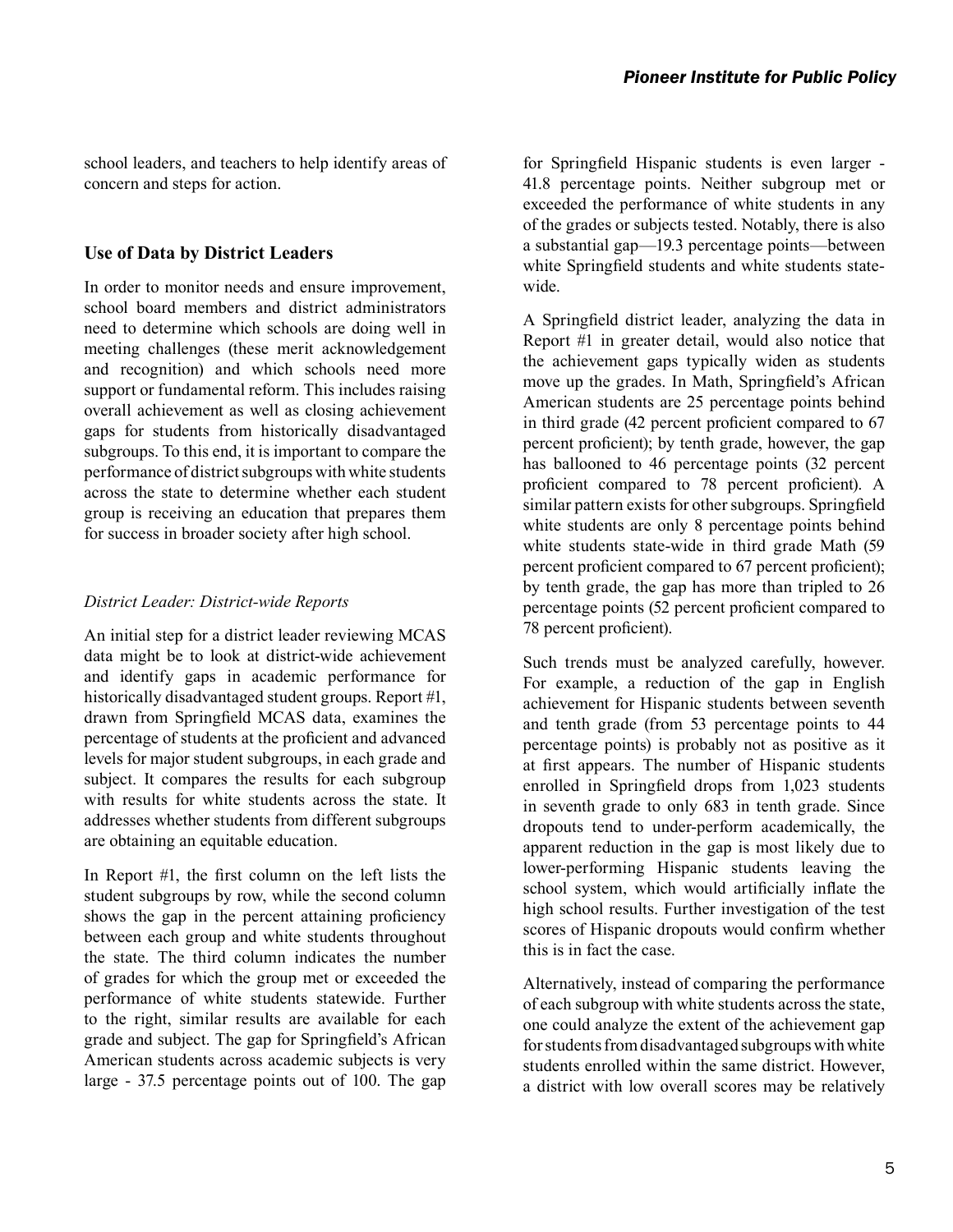school leaders, and teachers to help identify areas of concern and steps for action.

#### **Use of Data by District Leaders**

In order to monitor needs and ensure improvement, school board members and district administrators need to determine which schools are doing well in meeting challenges (these merit acknowledgement and recognition) and which schools need more support or fundamental reform. This includes raising overall achievement as well as closing achievement gaps for students from historically disadvantaged subgroups. To this end, it is important to compare the performance of district subgroups with white students across the state to determine whether each student group is receiving an education that prepares them for success in broader society after high school.

#### *District Leader: District-wide Reports*

An initial step for a district leader reviewing MCAS data might be to look at district-wide achievement and identify gaps in academic performance for historically disadvantaged student groups. Report #1, drawn from Springfield MCAS data, examines the percentage of students at the proficient and advanced levels for major student subgroups, in each grade and subject. It compares the results for each subgroup with results for white students across the state. It addresses whether students from different subgroups are obtaining an equitable education.

In Report #1, the first column on the left lists the student subgroups by row, while the second column shows the gap in the percent attaining proficiency between each group and white students throughout the state. The third column indicates the number of grades for which the group met or exceeded the performance of white students statewide. Further to the right, similar results are available for each grade and subject. The gap for Springfield's African American students across academic subjects is very large - 37.5 percentage points out of 100. The gap

for Springfield Hispanic students is even larger - 41.8 percentage points. Neither subgroup met or exceeded the performance of white students in any of the grades or subjects tested. Notably, there is also a substantial gap—19.3 percentage points—between white Springfield students and white students statewide.

A Springfield district leader, analyzing the data in Report #1 in greater detail, would also notice that the achievement gaps typically widen as students move up the grades. In Math, Springfield's African American students are 25 percentage points behind in third grade (42 percent proficient compared to 67 percent proficient); by tenth grade, however, the gap has ballooned to 46 percentage points (32 percent proficient compared to 78 percent proficient). A similar pattern exists for other subgroups. Springfield white students are only 8 percentage points behind white students state-wide in third grade Math (59 percent proficient compared to 67 percent proficient); by tenth grade, the gap has more than tripled to 26 percentage points (52 percent proficient compared to 78 percent proficient).

Such trends must be analyzed carefully, however. For example, a reduction of the gap in English achievement for Hispanic students between seventh and tenth grade (from 53 percentage points to 44 percentage points) is probably not as positive as it at first appears. The number of Hispanic students enrolled in Springfield drops from 1,023 students in seventh grade to only 683 in tenth grade. Since dropouts tend to under-perform academically, the apparent reduction in the gap is most likely due to lower-performing Hispanic students leaving the school system, which would artificially inflate the high school results. Further investigation of the test scores of Hispanic dropouts would confirm whether this is in fact the case.

Alternatively, instead of comparing the performance of each subgroup with white students across the state, one could analyze the extent of the achievement gap for students from disadvantaged subgroups with white students enrolled within the same district. However, a district with low overall scores may be relatively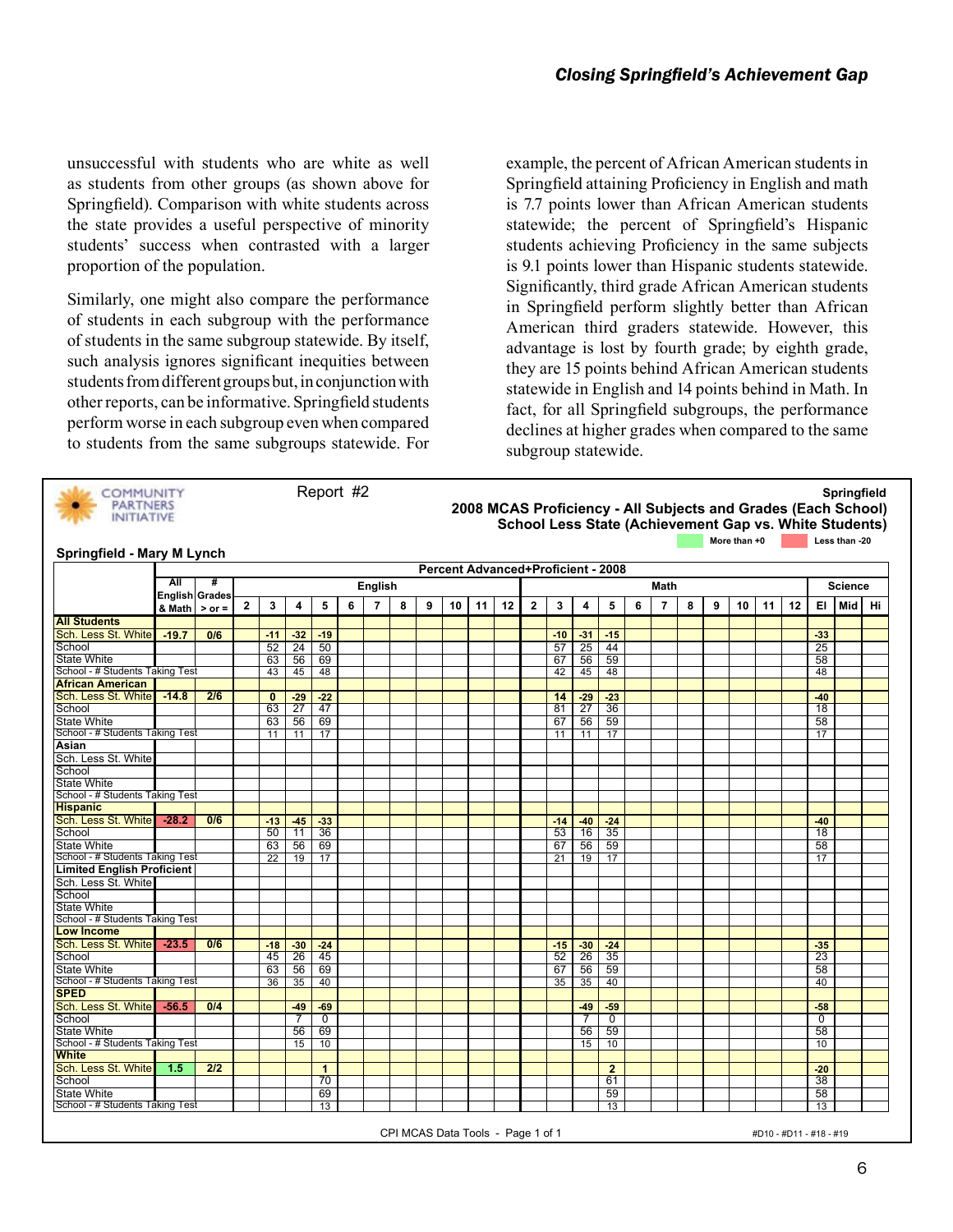unsuccessful with students who are white as well as students from other groups (as shown above for Springfield). Comparison with white students across the state provides a useful perspective of minority students' success when contrasted with a larger proportion of the population.

Similarly, one might also compare the performance of students in each subgroup with the performance of students in the same subgroup statewide. By itself, such analysis ignores significant inequities between students from different groups but, in conjunction with other reports, can be informative. Springfield students perform worse in each subgroup even when compared to students from the same subgroups statewide. For example, the percent of African American students in Springfield attaining Proficiency in English and math is 7.7 points lower than African American students statewide; the percent of Springfield's Hispanic students achieving Proficiency in the same subjects is 9.1 points lower than Hispanic students statewide. Significantly, third grade African American students in Springfield perform slightly better than African American third graders statewide. However, this advantage is lost by fourth grade; by eighth grade, they are 15 points behind African American students statewide in English and 14 points behind in Math. In fact, for all Springfield subgroups, the performance declines at higher grades when compared to the same subgroup statewide.

| <b>COMMUNITY</b><br><b>PARTNERS</b><br><b>INITIATIVE</b> |                       |            |                |              |                 | Report #2    |   |                |   |   |    |    |    |              |                                           |                |                |   |                |   |   | More than +0 |    |    |             | Less than -20  | Springfield<br>2008 MCAS Proficiency - All Subjects and Grades (Each School)<br>School Less State (Achievement Gap vs. White Students) |
|----------------------------------------------------------|-----------------------|------------|----------------|--------------|-----------------|--------------|---|----------------|---|---|----|----|----|--------------|-------------------------------------------|----------------|----------------|---|----------------|---|---|--------------|----|----|-------------|----------------|----------------------------------------------------------------------------------------------------------------------------------------|
| Springfield - Mary M Lynch                               |                       |            |                |              |                 |              |   |                |   |   |    |    |    |              |                                           |                |                |   |                |   |   |              |    |    |             |                |                                                                                                                                        |
|                                                          |                       |            |                |              |                 |              |   |                |   |   |    |    |    |              | <b>Percent Advanced+Proficient - 2008</b> |                |                |   |                |   |   |              |    |    |             |                |                                                                                                                                        |
|                                                          | All                   | #          |                |              |                 |              |   |                |   |   |    |    |    |              |                                           |                |                |   |                |   |   |              |    |    |             |                |                                                                                                                                        |
|                                                          | <b>English Grades</b> |            |                |              |                 |              |   | English        |   |   |    |    |    |              |                                           |                |                |   | Math           |   |   |              |    |    |             | <b>Science</b> |                                                                                                                                        |
|                                                          | & Math                | $>$ or $=$ | $\overline{2}$ | 3            | 4               | 5            | 6 | $\overline{7}$ | 8 | 9 | 10 | 11 | 12 | $\mathbf{2}$ | 3                                         | 4              | 5              | 6 | $\overline{7}$ | 8 | 9 | 10           | 11 | 12 | EI.         | Mid            | Hi                                                                                                                                     |
| <b>All Students</b>                                      |                       |            |                |              |                 |              |   |                |   |   |    |    |    |              |                                           |                |                |   |                |   |   |              |    |    |             |                |                                                                                                                                        |
| Sch. Less St. White                                      | $-19.7$               | 0/6        |                | $-11$        | $-32$           | $-19$        |   |                |   |   |    |    |    |              | $-10$                                     | $-31$          | $-15$          |   |                |   |   |              |    |    | $-33$       |                |                                                                                                                                        |
| School                                                   |                       |            |                | 52           | $\overline{24}$ | 50           |   |                |   |   |    |    |    |              | 57                                        | 25             | 44             |   |                |   |   |              |    |    | 25          |                |                                                                                                                                        |
| <b>State White</b>                                       |                       |            |                | 63           | 56              | 69           |   |                |   |   |    |    |    |              | 67                                        | 56             | 59             |   |                |   |   |              |    |    | 58          |                |                                                                                                                                        |
| School - # Students Taking Test                          |                       |            |                | 43           | 45              | 48           |   |                |   |   |    |    |    |              | 42                                        | 45             | 48             |   |                |   |   |              |    |    | 48          |                |                                                                                                                                        |
| <b>African American</b>                                  |                       |            |                |              |                 |              |   |                |   |   |    |    |    |              |                                           |                |                |   |                |   |   |              |    |    |             |                |                                                                                                                                        |
| Sch. Less St. White                                      | $-14.8$               | 2/6        |                | $\mathbf{0}$ | $-29$           | $-22$        |   |                |   |   |    |    |    |              | 14                                        | $-29$          | $-23$          |   |                |   |   |              |    |    | $-40$       |                |                                                                                                                                        |
| School                                                   |                       |            |                | 63           | $\overline{27}$ | 47           |   |                |   |   |    |    |    |              | 81                                        | 27             | 36             |   |                |   |   |              |    |    | 18          |                |                                                                                                                                        |
| <b>State White</b>                                       |                       |            |                | 63           | 56              | 69           |   |                |   |   |    |    |    |              | 67                                        | 56             | 59             |   |                |   |   |              |    |    | 58          |                |                                                                                                                                        |
| School - # Students Taking Test                          |                       |            |                | 11           | 11              | 17           |   |                |   |   |    |    |    |              | 11                                        | 11             | 17             |   |                |   |   |              |    |    | 17          |                |                                                                                                                                        |
| Asian                                                    |                       |            |                |              |                 |              |   |                |   |   |    |    |    |              |                                           |                |                |   |                |   |   |              |    |    |             |                |                                                                                                                                        |
| Sch. Less St. White                                      |                       |            |                |              |                 |              |   |                |   |   |    |    |    |              |                                           |                |                |   |                |   |   |              |    |    |             |                |                                                                                                                                        |
| School                                                   |                       |            |                |              |                 |              |   |                |   |   |    |    |    |              |                                           |                |                |   |                |   |   |              |    |    |             |                |                                                                                                                                        |
| <b>State White</b>                                       |                       |            |                |              |                 |              |   |                |   |   |    |    |    |              |                                           |                |                |   |                |   |   |              |    |    |             |                |                                                                                                                                        |
| School - # Students Taking Test                          |                       |            |                |              |                 |              |   |                |   |   |    |    |    |              |                                           |                |                |   |                |   |   |              |    |    |             |                |                                                                                                                                        |
| <b>Hispanic</b>                                          |                       |            |                |              |                 |              |   |                |   |   |    |    |    |              |                                           |                |                |   |                |   |   |              |    |    |             |                |                                                                                                                                        |
| Sch. Less St. White                                      | $-28.2$               | 0/6        |                | $-13$        | $-45$           | $-33$        |   |                |   |   |    |    |    |              | $-14$                                     | $-40$          | $-24$          |   |                |   |   |              |    |    | $-40$       |                |                                                                                                                                        |
| School                                                   |                       |            |                | 50           | 11              | 36           |   |                |   |   |    |    |    |              | 53                                        | 16             | 35             |   |                |   |   |              |    |    | 18          |                |                                                                                                                                        |
| <b>State White</b>                                       |                       |            |                | 63           | 56              | 69           |   |                |   |   |    |    |    |              | 67                                        | 56             | 59             |   |                |   |   |              |    |    | 58          |                |                                                                                                                                        |
| School - # Students Taking Test                          |                       |            |                | 22           | 19              | 17           |   |                |   |   |    |    |    |              | 21                                        | 19             | 17             |   |                |   |   |              |    |    | 17          |                |                                                                                                                                        |
| <b>Limited English Proficient</b>                        |                       |            |                |              |                 |              |   |                |   |   |    |    |    |              |                                           |                |                |   |                |   |   |              |    |    |             |                |                                                                                                                                        |
| Sch. Less St. White                                      |                       |            |                |              |                 |              |   |                |   |   |    |    |    |              |                                           |                |                |   |                |   |   |              |    |    |             |                |                                                                                                                                        |
| School                                                   |                       |            |                |              |                 |              |   |                |   |   |    |    |    |              |                                           |                |                |   |                |   |   |              |    |    |             |                |                                                                                                                                        |
| State White                                              |                       |            |                |              |                 |              |   |                |   |   |    |    |    |              |                                           |                |                |   |                |   |   |              |    |    |             |                |                                                                                                                                        |
| School - # Students Taking Test                          |                       |            |                |              |                 |              |   |                |   |   |    |    |    |              |                                           |                |                |   |                |   |   |              |    |    |             |                |                                                                                                                                        |
| <b>Low Income</b>                                        |                       |            |                |              |                 |              |   |                |   |   |    |    |    |              |                                           |                |                |   |                |   |   |              |    |    |             |                |                                                                                                                                        |
| Sch. Less St. White -23.5                                |                       | 0/6        |                | $-18$        | $-30$           | $-24$        |   |                |   |   |    |    |    |              | $-15$                                     | $-30$          | $-24$          |   |                |   |   |              |    |    | $-35$       |                |                                                                                                                                        |
| School                                                   |                       |            |                | 45           | 26              | 45           |   |                |   |   |    |    |    |              | 52                                        | 26             | 35             |   |                |   |   |              |    |    | 23          |                |                                                                                                                                        |
| <b>State White</b>                                       |                       |            |                | 63           | 56              | 69           |   |                |   |   |    |    |    |              | 67                                        | 56             | 59             |   |                |   |   |              |    |    | 58          |                |                                                                                                                                        |
| School - # Students Taking Test                          |                       |            |                | 36           | 35              | 40           |   |                |   |   |    |    |    |              | 35                                        | 35             | 40             |   |                |   |   |              |    |    | 40          |                |                                                                                                                                        |
| <b>SPED</b>                                              |                       |            |                |              |                 |              |   |                |   |   |    |    |    |              |                                           |                |                |   |                |   |   |              |    |    |             |                |                                                                                                                                        |
| Sch. Less St. White                                      | $-56.5$               | 0/4        |                |              | $-49$           | $-69$        |   |                |   |   |    |    |    |              |                                           | $-49$          | $-59$          |   |                |   |   |              |    |    | $-58$       |                |                                                                                                                                        |
| School                                                   |                       |            |                |              | $\overline{7}$  | $\mathbf 0$  |   |                |   |   |    |    |    |              |                                           | $\overline{7}$ | $\mathbf 0$    |   |                |   |   |              |    |    | $\mathbf 0$ |                |                                                                                                                                        |
| <b>State White</b>                                       |                       |            |                |              | 56              | 69           |   |                |   |   |    |    |    |              |                                           | 56             | 59             |   |                |   |   |              |    |    | 58          |                |                                                                                                                                        |
| School - # Students Taking Test<br><b>White</b>          |                       |            |                |              | 15              | 10           |   |                |   |   |    |    |    |              |                                           | 15             | 10             |   |                |   |   |              |    |    | 10          |                |                                                                                                                                        |
|                                                          |                       |            |                |              |                 |              |   |                |   |   |    |    |    |              |                                           |                |                |   |                |   |   |              |    |    |             |                |                                                                                                                                        |
| Sch. Less St. White                                      | $-1.5$                | 2/2        |                |              |                 | $\mathbf{1}$ |   |                |   |   |    |    |    |              |                                           |                | $\overline{2}$ |   |                |   |   |              |    |    | $-20$       |                |                                                                                                                                        |
| School                                                   |                       |            |                |              |                 | 70           |   |                |   |   |    |    |    |              |                                           |                | 61             |   |                |   |   |              |    |    | 38          |                |                                                                                                                                        |
| <b>State White</b>                                       |                       |            |                |              |                 | 69           |   |                |   |   |    |    |    |              |                                           |                | 59             |   |                |   |   |              |    |    | 58          |                |                                                                                                                                        |
| School - # Students Taking Test                          |                       |            |                |              |                 | 13           |   |                |   |   |    |    |    |              |                                           |                | 13             |   |                |   |   |              |    |    | 13          |                |                                                                                                                                        |

CPI MCAS Data Tools - Page 1 of 1  $\mu$ D10 - #D10 - #D11 - #18 - #19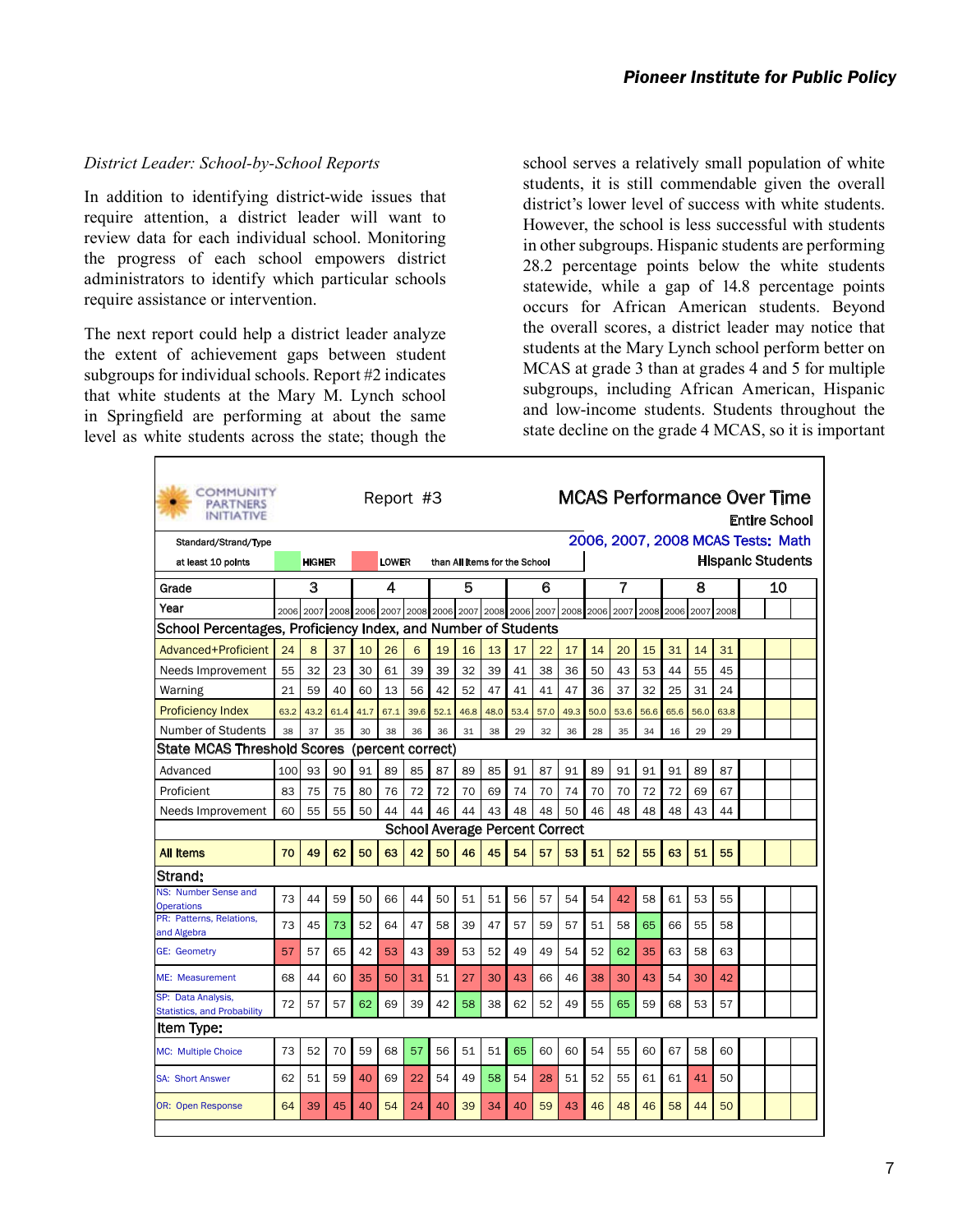#### *District Leader: School-by-School Reports*

In addition to identifying district-wide issues that require attention, a district leader will want to review data for each individual school. Monitoring the progress of each school empowers district administrators to identify which particular schools require assistance or intervention.

The next report could help a district leader analyze the extent of achievement gaps between student subgroups for individual schools. Report #2 indicates that white students at the Mary M. Lynch school in Springfield are performing at about the same level as white students across the state; though the school serves a relatively small population of white students, it is still commendable given the overall district's lower level of success with white students. However, the school is less successful with students in other subgroups. Hispanic students are performing 28.2 percentage points below the white students statewide, while a gap of 14.8 percentage points occurs for African American students. Beyond the overall scores, a district leader may notice that students at the Mary Lynch school perform better on MCAS at grade 3 than at grades 4 and 5 for multiple subgroups, including African American, Hispanic and low-income students. Students throughout the state decline on the grade 4 MCAS, so it is important

| <b>COMMUNITY</b><br><b>PARTNERS</b><br><b>INITIATIVE</b>      |      | <b>MCAS Performance Over Time</b><br>Report #3<br>2006, 2007, 2008 MCAS Tests: Math |      |      |              |      |                                                                       |                               |      |      |      |      |      | <b>Entire School</b> |      |           |           |                          |    |  |
|---------------------------------------------------------------|------|-------------------------------------------------------------------------------------|------|------|--------------|------|-----------------------------------------------------------------------|-------------------------------|------|------|------|------|------|----------------------|------|-----------|-----------|--------------------------|----|--|
| Standard/Strand/Type                                          |      |                                                                                     |      |      |              |      |                                                                       |                               |      |      |      |      |      |                      |      |           |           |                          |    |  |
| at least 10 points                                            |      | <b>HIGHER</b>                                                                       |      |      | <b>LOWER</b> |      |                                                                       | than All Items for the School |      |      |      |      |      |                      |      |           |           | <b>Hispanic Students</b> |    |  |
| Grade                                                         |      | 3                                                                                   |      |      | 4            |      |                                                                       | 5                             |      |      | 6    |      |      | 7                    |      |           | 8         |                          | 10 |  |
| Year                                                          |      |                                                                                     |      |      |              |      | 2006 2007 2008 2006 2007 2008 2006 2007 2008 2006 2007 2008 2006 2007 |                               |      |      |      |      |      |                      |      | 2008 2006 | 2007 2008 |                          |    |  |
| School Percentages, Proficiency Index, and Number of Students |      |                                                                                     |      |      |              |      |                                                                       |                               |      |      |      |      |      |                      |      |           |           |                          |    |  |
| Advanced+Proficient                                           | 24   | 8                                                                                   | 37   | 10   | 26           | 6    | 19                                                                    | 16                            | 13   | 17   | 22   | 17   | 14   | 20                   | 15   | 31        | 14        | 31                       |    |  |
| Needs Improvement                                             | 55   | 32                                                                                  | 23   | 30   | 61           | 39   | 39                                                                    | 32                            | 39   | 41   | 38   | 36   | 50   | 43                   | 53   | 44        | 55        | 45                       |    |  |
| Warning                                                       | 21   | 59                                                                                  | 40   | 60   | 13           | 56   | 42                                                                    | 52                            | 47   | 41   | 41   | 47   | 36   | 37                   | 32   | 25        | 31        | 24                       |    |  |
| <b>Proficiency Index</b>                                      | 63.2 | 43.2                                                                                | 61.4 | 41.7 | 67.1         | 39.6 | 52.1                                                                  | 46.8                          | 48.0 | 53.4 | 57.0 | 49.3 | 50.0 | 53.6                 | 56.6 | 65.6      | 56.0      | 63.8                     |    |  |
| Number of Students                                            | 38   | 37                                                                                  | 35   | 30   | 38           | 36   | 36                                                                    | 31                            | 38   | 29   | 32   | 36   | 28   | 35                   | 34   | 16        | 29        | 29                       |    |  |
| <b>State MCAS Threshold Scores</b>                            |      |                                                                                     |      |      |              |      | (percent correct)                                                     |                               |      |      |      |      |      |                      |      |           |           |                          |    |  |
| Advanced                                                      | 100  | 93                                                                                  | 90   | 91   | 89           | 85   | 87                                                                    | 89                            | 85   | 91   | 87   | 91   | 89   | 91                   | 91   | 91        | 89        | 87                       |    |  |
| Proficient                                                    | 83   | 75                                                                                  | 75   | 80   | 76           | 72   | 72                                                                    | 70                            | 69   | 74   | 70   | 74   | 70   | 70                   | 72   | 72        | 69        | 67                       |    |  |
| Needs Improvement                                             | 60   | 55                                                                                  | 55   | 50   | 44           | 44   | 46                                                                    | 44                            | 43   | 48   | 48   | 50   | 46   | 48                   | 48   | 48        | 43        | 44                       |    |  |
|                                                               |      |                                                                                     |      |      |              |      | <b>School Average Percent Correct</b>                                 |                               |      |      |      |      |      |                      |      |           |           |                          |    |  |
| <b>All Items</b>                                              | 70   | 49                                                                                  | 62   | 50   | 63           | 42   | 50                                                                    | 46                            | 45   | 54   | 57   | 53   | 51   | 52                   | 55   | 63        | 51        | 55                       |    |  |
| Strand:                                                       |      |                                                                                     |      |      |              |      |                                                                       |                               |      |      |      |      |      |                      |      |           |           |                          |    |  |
| NS: Number Sense and<br><b>Operations</b>                     | 73   | 44                                                                                  | 59   | 50   | 66           | 44   | 50                                                                    | 51                            | 51   | 56   | 57   | 54   | 54   | 42                   | 58   | 61        | 53        | 55                       |    |  |
| PR: Patterns, Relations,                                      | 73   | 45                                                                                  | 73   | 52   | 64           | 47   | 58                                                                    | 39                            | 47   | 57   | 59   | 57   | 51   | 58                   | 65   | 66        | 55        | 58                       |    |  |
| and Algebra<br><b>GE: Geometry</b>                            | 57   | 57                                                                                  | 65   | 42   | 53           | 43   | 39                                                                    | 53                            | 52   | 49   | 49   | 54   | 52   | 62                   | 35   | 63        | 58        | 63                       |    |  |
| ME: Measurement                                               | 68   | 44                                                                                  | 60   | 35   | 50           | 31   | 51                                                                    | 27                            | 30   | 43   | 66   | 46   | 38   | 30                   | 43   | 54        | 30        | 42                       |    |  |
| SP: Data Analysis,<br><b>Statistics, and Probability</b>      | 72   | 57                                                                                  | 57   | 62   | 69           | 39   | 42                                                                    | 58                            | 38   | 62   | 52   | 49   | 55   | 65                   | 59   | 68        | 53        | 57                       |    |  |
| lltem Type:                                                   |      |                                                                                     |      |      |              |      |                                                                       |                               |      |      |      |      |      |                      |      |           |           |                          |    |  |
| <b>MC: Multiple Choice</b>                                    | 73   | 52                                                                                  | 70   | 59   | 68           | 57   | 56                                                                    | 51                            | 51   | 65   | 60   | 60   | 54   | 55                   | 60   | 67        | 58        | 60                       |    |  |
| <b>SA: Short Answer</b>                                       | 62   | 51                                                                                  | 59   | 40   | 69           | 22   | 54                                                                    | 49                            | 58   | 54   | 28   | 51   | 52   | 55                   | 61   | 61        | 41        | 50                       |    |  |
| <b>OR: Open Response</b>                                      | 64   | 39                                                                                  | 45   | 40   | 54           | 24   | 40                                                                    | 39                            | 34   | 40   | 59   | 43   | 46   | 48                   | 46   | 58        | 44        | 50                       |    |  |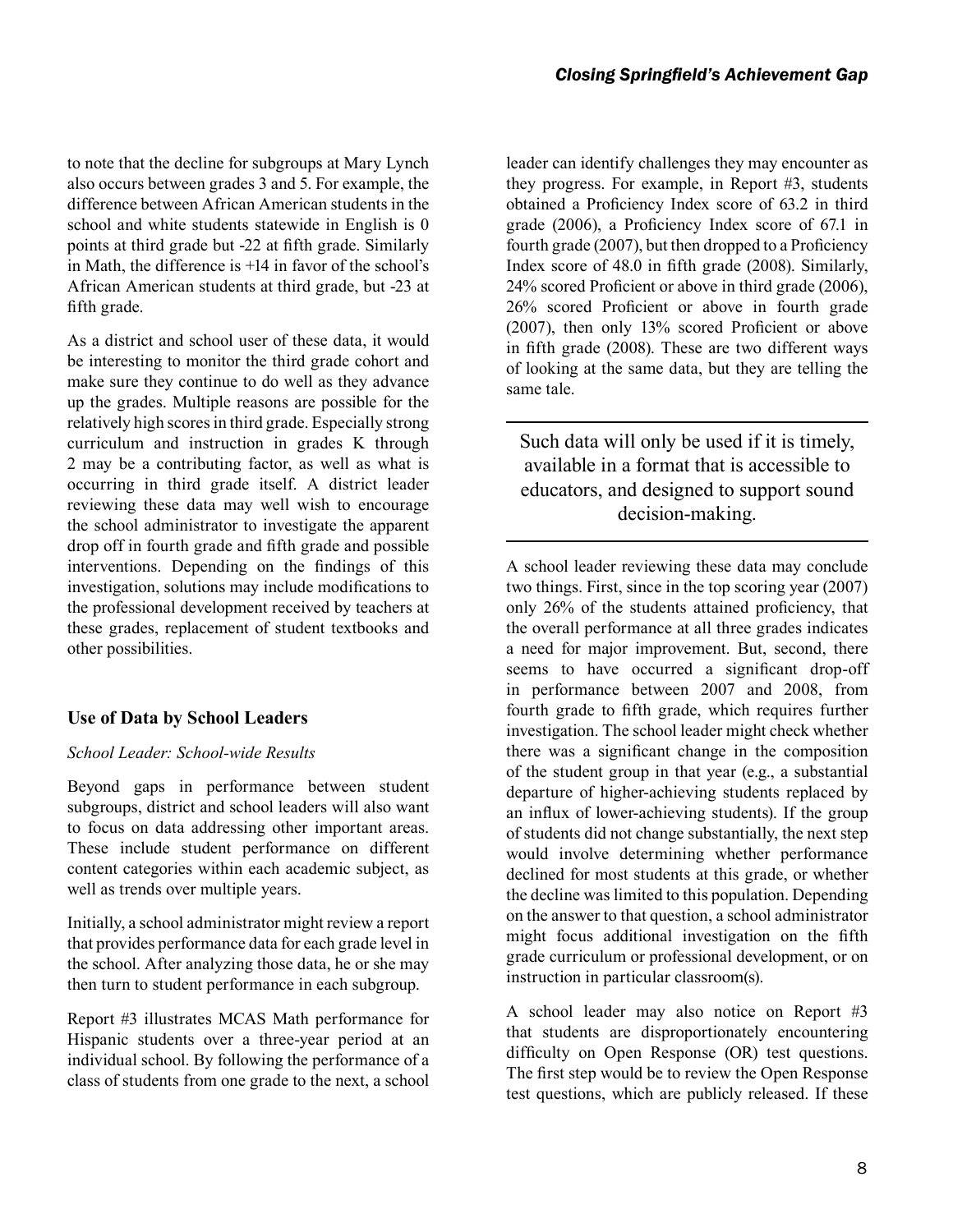to note that the decline for subgroups at Mary Lynch also occurs between grades 3 and 5. For example, the difference between African American students in the school and white students statewide in English is 0 points at third grade but -22 at fifth grade. Similarly in Math, the difference is +14 in favor of the school's African American students at third grade, but -23 at fifth grade.

As a district and school user of these data, it would be interesting to monitor the third grade cohort and make sure they continue to do well as they advance up the grades. Multiple reasons are possible for the relatively high scores in third grade. Especially strong curriculum and instruction in grades K through 2 may be a contributing factor, as well as what is occurring in third grade itself. A district leader reviewing these data may well wish to encourage the school administrator to investigate the apparent drop off in fourth grade and fifth grade and possible interventions. Depending on the findings of this investigation, solutions may include modifications to the professional development received by teachers at these grades, replacement of student textbooks and other possibilities.

#### **Use of Data by School Leaders**

#### *School Leader: School-wide Results*

Beyond gaps in performance between student subgroups, district and school leaders will also want to focus on data addressing other important areas. These include student performance on different content categories within each academic subject, as well as trends over multiple years.

Initially, a school administrator might review a report that provides performance data for each grade level in the school. After analyzing those data, he or she may then turn to student performance in each subgroup.

Report #3 illustrates MCAS Math performance for Hispanic students over a three-year period at an individual school. By following the performance of a class of students from one grade to the next, a school

leader can identify challenges they may encounter as they progress. For example, in Report #3, students obtained a Proficiency Index score of 63.2 in third grade (2006), a Proficiency Index score of 67.1 in fourth grade (2007), but then dropped to a Proficiency Index score of 48.0 in fifth grade (2008). Similarly, 24% scored Proficient or above in third grade (2006), 26% scored Proficient or above in fourth grade (2007), then only 13% scored Proficient or above in fifth grade (2008). These are two different ways of looking at the same data, but they are telling the same tale.

Such data will only be used if it is timely, available in a format that is accessible to educators, and designed to support sound decision-making.

A school leader reviewing these data may conclude two things. First, since in the top scoring year (2007) only 26% of the students attained proficiency, that the overall performance at all three grades indicates a need for major improvement. But, second, there seems to have occurred a significant drop-off in performance between 2007 and 2008, from fourth grade to fifth grade, which requires further investigation. The school leader might check whether there was a significant change in the composition of the student group in that year (e.g., a substantial departure of higher-achieving students replaced by an influx of lower-achieving students). If the group of students did not change substantially, the next step would involve determining whether performance declined for most students at this grade, or whether the decline was limited to this population. Depending on the answer to that question, a school administrator might focus additional investigation on the fifth grade curriculum or professional development, or on instruction in particular classroom(s).

A school leader may also notice on Report #3 that students are disproportionately encountering difficulty on Open Response (OR) test questions. The first step would be to review the Open Response test questions, which are publicly released. If these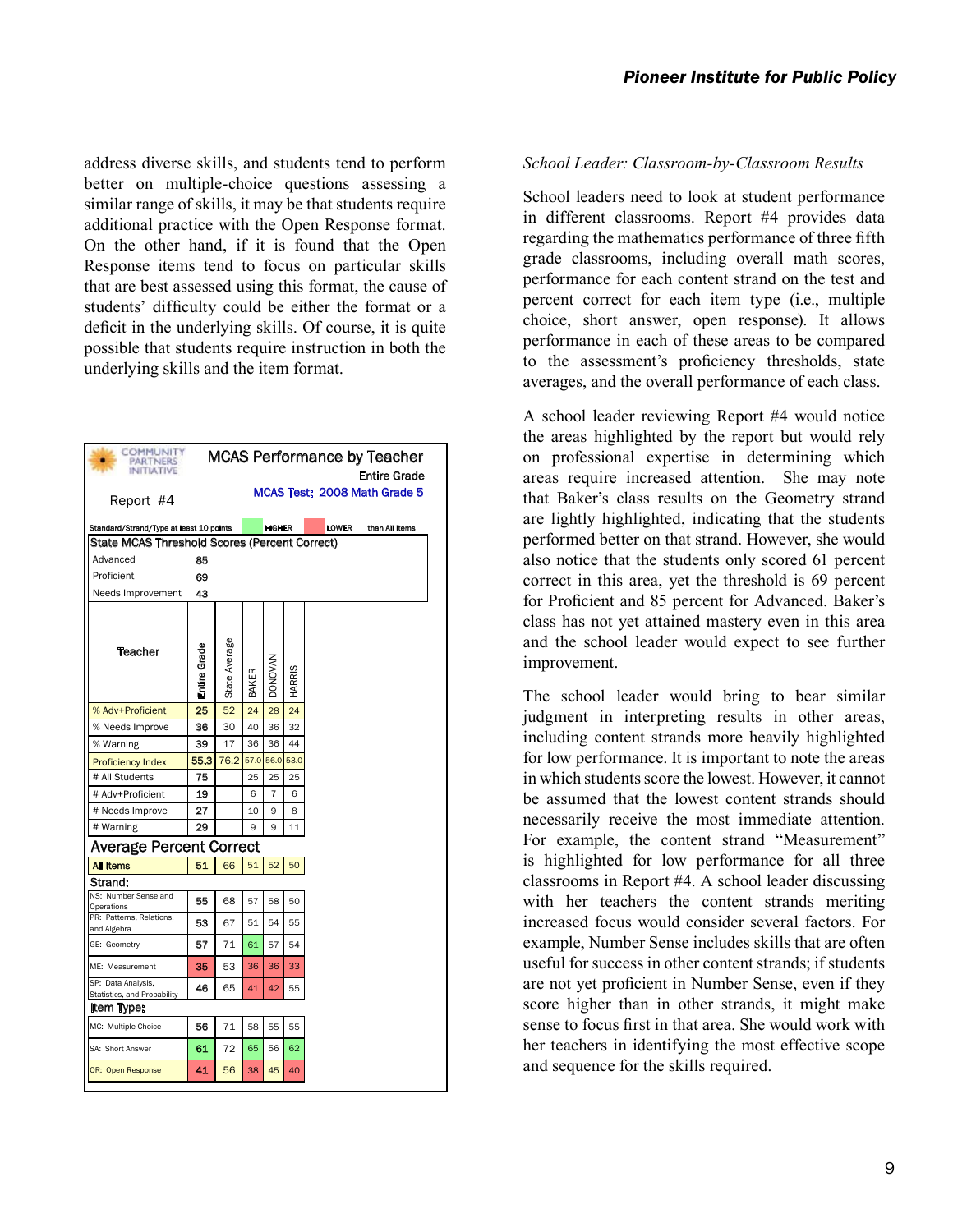address diverse skills, and students tend to perform better on multiple-choice questions assessing a similar range of skills, it may be that students require additional practice with the Open Response format. On the other hand, if it is found that the Open Response items tend to focus on particular skills that are best assessed using this format, the cause of students' difficulty could be either the format or a deficit in the underlying skills. Of course, it is quite possible that students require instruction in both the underlying skills and the item format.

| COMMUNITY<br>PARTNERS<br><b>INITIATIVE</b>        |              |               |       |                |        |              | <b>MCAS Performance by Teacher</b><br>Entire Grade |
|---------------------------------------------------|--------------|---------------|-------|----------------|--------|--------------|----------------------------------------------------|
| Report #4                                         |              |               |       |                |        |              | MCAS Test: 2008 Math Grade 5                       |
| Standard/Strand/Type at least 10 points           |              |               |       | <b>HIGHER</b>  |        | <b>LOWER</b> | than All Items                                     |
| State MCAS Threshold Scores (Percent Correct)     |              |               |       |                |        |              |                                                    |
| Advanced                                          | 85           |               |       |                |        |              |                                                    |
| Proficient                                        | 69           |               |       |                |        |              |                                                    |
| Needs Improvement                                 | 43           |               |       |                |        |              |                                                    |
| <b>Teacher</b>                                    | Entire Grade | State Average | BAKER | <b>DONOVAN</b> | HARRIS |              |                                                    |
| % Adv+Proficient                                  | 25           | 52            | 24    | 28             | 24     |              |                                                    |
| % Needs Improve                                   | 36           | 30            | 40    | 36             | 32     |              |                                                    |
| % Warning                                         | 39           | 17            | 36    | 36             | 44     |              |                                                    |
| <b>Proficiency Index</b>                          | 55.3         | 76.2          | 57.0  | 56.0           | 53.0   |              |                                                    |
| # All Students                                    | 75           |               | 25    | 25             | 25     |              |                                                    |
| # Adv+Proficient                                  | 19           |               | 6     | 7              | 6      |              |                                                    |
| # Needs Improve                                   | 27           |               | 10    | 9              | 8      |              |                                                    |
| # Warning                                         | 29           |               | 9     | 9              | 11     |              |                                                    |
| <b>Average Percent Correct</b>                    |              |               |       |                |        |              |                                                    |
| <b>All Items</b>                                  | 51           | 66            | 51    | 52             | 50     |              |                                                    |
| Strand:                                           |              |               |       |                |        |              |                                                    |
| NS: Number Sense and                              | 55           | 68            | 57    | 58             | 50     |              |                                                    |
| Operations<br>PR: Patterns, Relations,            | 53           | 67            | 51    | 54             | 55     |              |                                                    |
| and Algebra                                       |              |               |       |                |        |              |                                                    |
| GE: Geometry                                      | 57           | 71            | 61    | 57             | 54     |              |                                                    |
| ME: Measurement                                   | 35           | 53            | 36    | 36             | 33     |              |                                                    |
| SP: Data Analysis,<br>Statistics, and Probability | 46           | 65            | 41    | 42             | 55     |              |                                                    |
| Item Type:                                        |              |               |       |                |        |              |                                                    |
| MC: Multiple Choice                               | 56           | 71            | 58    | 55             | 55     |              |                                                    |
| SA: Short Answer                                  | 61           | 72            | 65    | 56             | 62     |              |                                                    |
| OR: Open Response                                 | 41           | 56            | 38    | 45             | 40     |              |                                                    |

#### *School Leader: Classroom-by-Classroom Results*

School leaders need to look at student performance in different classrooms. Report #4 provides data regarding the mathematics performance of three fifth grade classrooms, including overall math scores, performance for each content strand on the test and percent correct for each item type (i.e., multiple choice, short answer, open response). It allows performance in each of these areas to be compared to the assessment's proficiency thresholds, state averages, and the overall performance of each class.

A school leader reviewing Report #4 would notice the areas highlighted by the report but would rely on professional expertise in determining which areas require increased attention. She may note that Baker's class results on the Geometry strand are lightly highlighted, indicating that the students performed better on that strand. However, she would also notice that the students only scored 61 percent correct in this area, yet the threshold is 69 percent for Proficient and 85 percent for Advanced. Baker's class has not yet attained mastery even in this area and the school leader would expect to see further improvement.

The school leader would bring to bear similar judgment in interpreting results in other areas, including content strands more heavily highlighted for low performance. It is important to note the areas in which students score the lowest. However, it cannot be assumed that the lowest content strands should necessarily receive the most immediate attention. For example, the content strand "Measurement" is highlighted for low performance for all three classrooms in Report #4. A school leader discussing with her teachers the content strands meriting increased focus would consider several factors. For example, Number Sense includes skills that are often useful for success in other content strands; if students are not yet proficient in Number Sense, even if they score higher than in other strands, it might make sense to focus first in that area. She would work with her teachers in identifying the most effective scope and sequence for the skills required.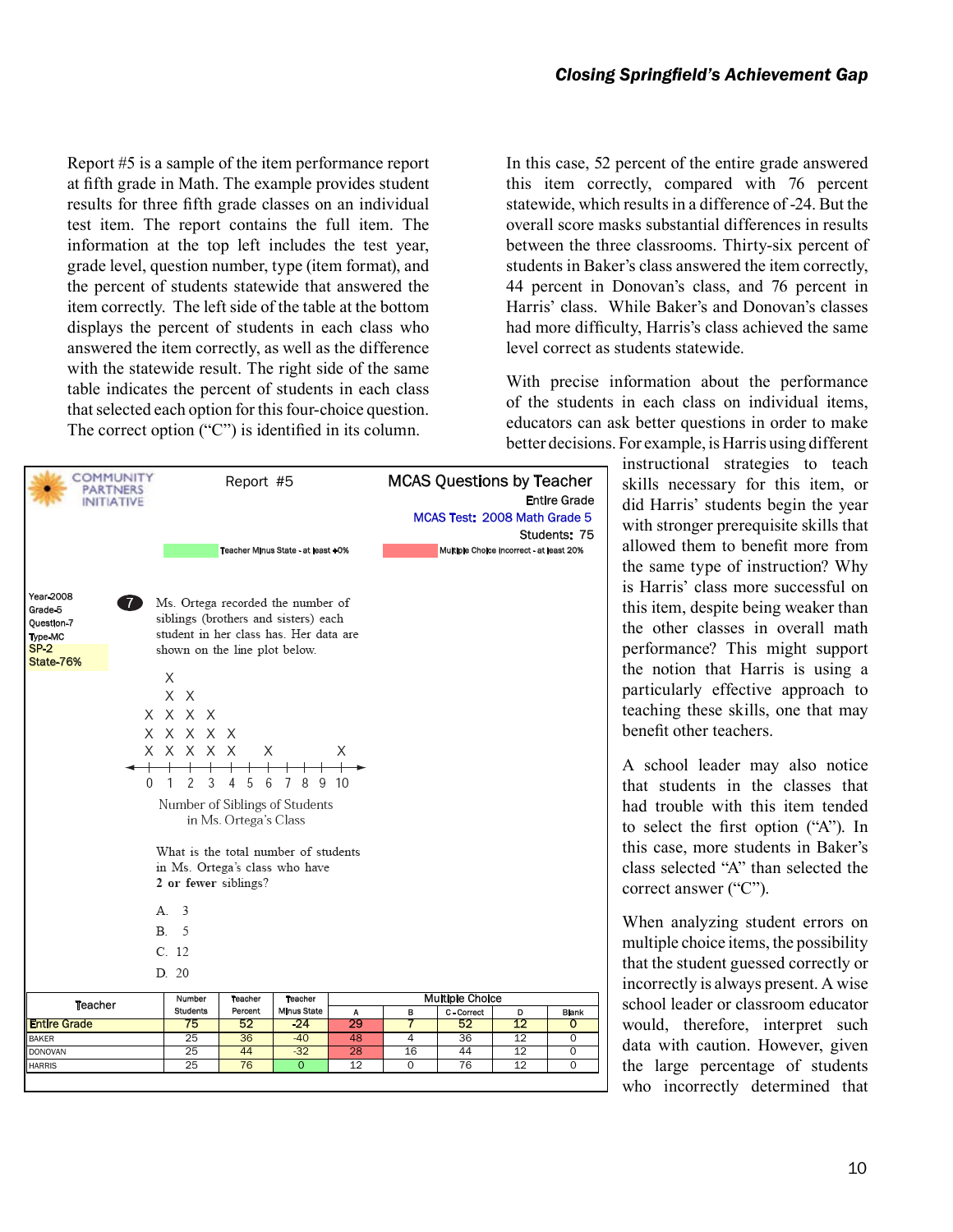Report #5 is a sample of the item performance report at fifth grade in Math. The example provides student results for three fifth grade classes on an individual test item. The report contains the full item. The information at the top left includes the test year, grade level, question number, type (item format), and the percent of students statewide that answered the item correctly. The left side of the table at the bottom displays the percent of students in each class who answered the item correctly, as well as the difference with the statewide result. The right side of the same table indicates the percent of students in each class that selected each option for this four-choice question. The correct option ("C") is identified in its column.

| Year 2008<br>Grade 5<br>Question 7<br>Type-MC<br><b>SP-2</b><br>State-76% | <b>INITIATIVE</b><br>7)<br>0<br>А.<br>B. | shown on the line plot below.<br>X<br>X X<br>X X X X<br>X X X X X<br>x x x x x<br>1<br>2<br>3<br>2 or fewer siblings?<br>3<br>5 | Х<br>5<br>4<br>6<br>in Ms. Ortega's Class | Teacher Minus State - at least +0%<br>Ms. Ortega recorded the number of<br>siblings (brothers and sisters) each<br>student in her class has. Her data are<br>7<br>8<br>9<br>Number of Siblings of Students<br>What is the total number of students<br>in Ms. Ortega's class who have | X<br>10 |        | MCAS Test: 2008 Math Grade 5<br>Multiple Choice incorrect - at least 20% |         | <b>Entire Grade</b><br>Students: 75 |
|---------------------------------------------------------------------------|------------------------------------------|---------------------------------------------------------------------------------------------------------------------------------|-------------------------------------------|--------------------------------------------------------------------------------------------------------------------------------------------------------------------------------------------------------------------------------------------------------------------------------------|---------|--------|--------------------------------------------------------------------------|---------|-------------------------------------|
|                                                                           |                                          |                                                                                                                                 |                                           |                                                                                                                                                                                                                                                                                      |         |        |                                                                          |         |                                     |
|                                                                           |                                          | C. 12                                                                                                                           |                                           |                                                                                                                                                                                                                                                                                      |         |        |                                                                          |         |                                     |
|                                                                           |                                          | D. 20                                                                                                                           |                                           |                                                                                                                                                                                                                                                                                      |         |        |                                                                          |         |                                     |
| <b>Teacher</b>                                                            |                                          | Number                                                                                                                          | Teacher                                   | <b>Teacher</b>                                                                                                                                                                                                                                                                       |         |        | <b>Multiple Choice</b>                                                   |         |                                     |
| <b>Entire Grade</b>                                                       |                                          | <b>Students</b><br>75                                                                                                           | Percent<br>52                             | <b>Minus State</b><br>$-24$                                                                                                                                                                                                                                                          | Α<br>29 | в<br>7 | C - Correct<br>52                                                        | D<br>12 | <b>Blank</b><br>0                   |
| BAKER                                                                     |                                          | 25                                                                                                                              | 36                                        | $-40$                                                                                                                                                                                                                                                                                | 48      | 4      | 36                                                                       | 12      | 0                                   |
|                                                                           |                                          |                                                                                                                                 |                                           |                                                                                                                                                                                                                                                                                      |         |        |                                                                          |         |                                     |
| DONOVAN                                                                   |                                          | 25                                                                                                                              | 44                                        | $-32$                                                                                                                                                                                                                                                                                | 28      | 16     | 44                                                                       | 12      | 0                                   |

In this case, 52 percent of the entire grade answered this item correctly, compared with 76 percent statewide, which results in a difference of -24. But the overall score masks substantial differences in results between the three classrooms. Thirty-six percent of students in Baker's class answered the item correctly, 44 percent in Donovan's class, and 76 percent in Harris' class. While Baker's and Donovan's classes had more difficulty, Harris's class achieved the same level correct as students statewide.

With precise information about the performance of the students in each class on individual items, educators can ask better questions in order to make better decisions. For example, is Harris using different

instructional strategies to teach skills necessary for this item, or did Harris' students begin the year with stronger prerequisite skills that allowed them to benefit more from the same type of instruction? Why is Harris' class more successful on this item, despite being weaker than the other classes in overall math performance? This might support the notion that Harris is using a particularly effective approach to teaching these skills, one that may benefit other teachers.

A school leader may also notice that students in the classes that had trouble with this item tended to select the first option ("A"). In this case, more students in Baker's class selected "A" than selected the correct answer ("C").

When analyzing student errors on multiple choice items, the possibility that the student guessed correctly or incorrectly is always present. A wise school leader or classroom educator would, therefore, interpret such data with caution. However, given the large percentage of students who incorrectly determined that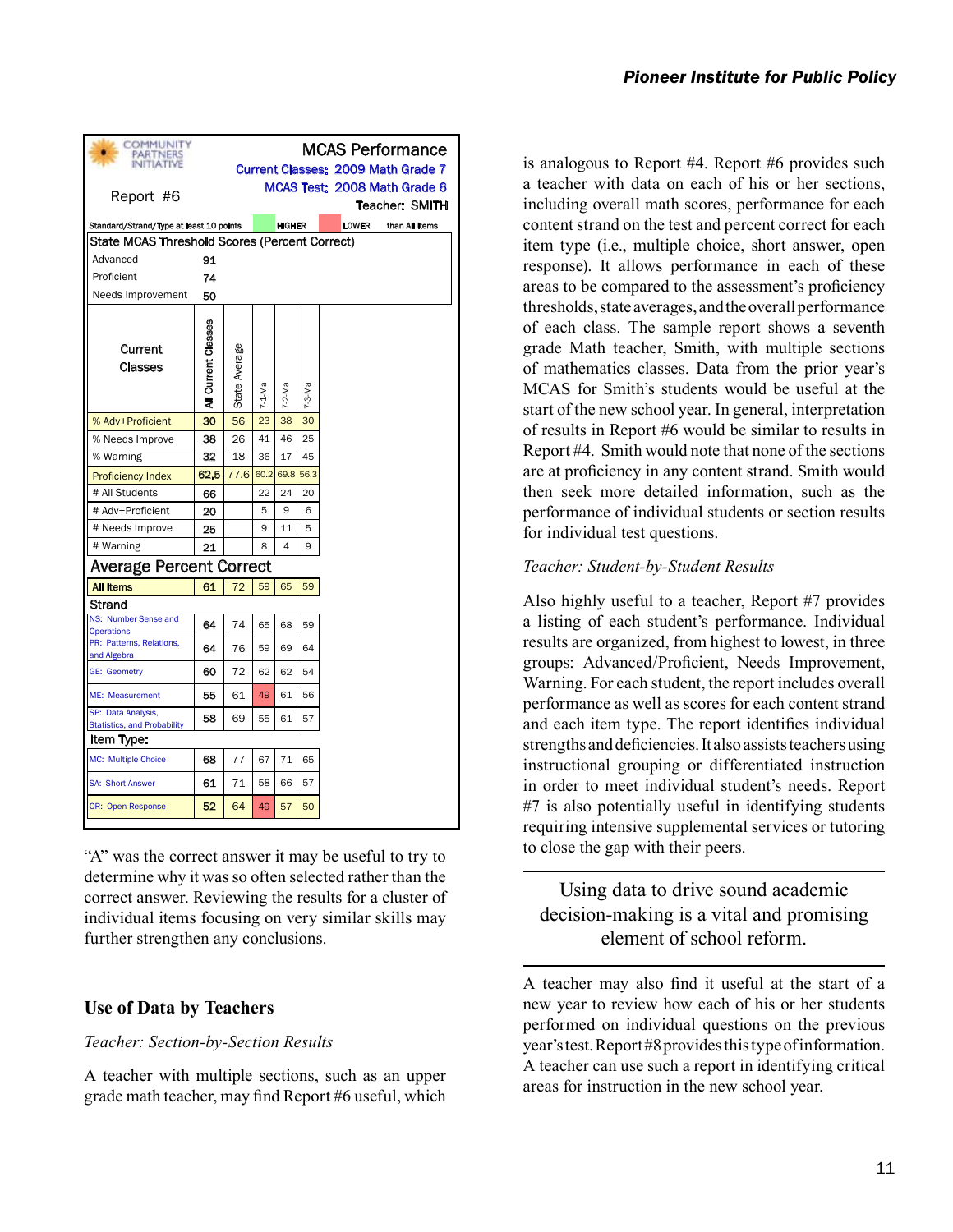| COMMUNITY<br>PARTNERS<br><b>INITIATIVE</b>               |                     |               |          |                |          |              | <b>MCAS Performance</b><br><b>Current Classes: 2009 Math Grade 7</b> |
|----------------------------------------------------------|---------------------|---------------|----------|----------------|----------|--------------|----------------------------------------------------------------------|
|                                                          |                     |               |          |                |          |              | MCAS Test: 2008 Math Grade 6                                         |
| Report #6                                                |                     |               |          |                |          |              | <b>Teacher: SMITH</b>                                                |
| Standard/Strand/Type at least 10 points                  |                     |               |          | <b>HIGHER</b>  |          | <b>LOWER</b> | than All Items                                                       |
| <b>State MCAS Threshold Scores (Percent Correct)</b>     |                     |               |          |                |          |              |                                                                      |
| Advanced                                                 | 91                  |               |          |                |          |              |                                                                      |
| Proficient                                               | 74                  |               |          |                |          |              |                                                                      |
| Needs Improvement                                        | 50                  |               |          |                |          |              |                                                                      |
| Current<br>Classes                                       | All Current Classes | State Average | $7-1-Ma$ | $7 - 2 - Ma$   | $7-3-Ma$ |              |                                                                      |
| % Adv+Proficient                                         | 30                  | 56            | 23       | 38             | 30       |              |                                                                      |
| % Needs Improve                                          | 38                  | 26            | 41       | 46             | 25       |              |                                                                      |
| % Warning                                                | 32                  | 18            | 36       | 17             | 45       |              |                                                                      |
| <b>Proficiency Index</b>                                 | 62.5                | 77.6          | 60.2     | 69.8           | 56.3     |              |                                                                      |
| # All Students                                           | 66                  |               | 22       | 24             | 20       |              |                                                                      |
| # Adv+Proficient                                         | 20                  |               | 5        | 9              | 6        |              |                                                                      |
| # Needs Improve                                          | 25                  |               | 9        | 11             | 5        |              |                                                                      |
| # Warning                                                | 21                  |               | 8        | $\overline{4}$ | 9        |              |                                                                      |
| <b>Average Percent Correct</b>                           |                     |               |          |                |          |              |                                                                      |
| <b>All Items</b>                                         | 61                  | 72            | 59       | 65             | 59       |              |                                                                      |
| Strand                                                   |                     |               |          |                |          |              |                                                                      |
| NS: Number Sense and<br><b>Operations</b>                | 64                  | 74            | 65       | 68             | 59       |              |                                                                      |
| PR: Patterns, Relations,<br>and Algebra                  | 64                  | 76            | 59       | 69             | 64       |              |                                                                      |
| <b>GE: Geometry</b>                                      | 60                  | 72            | 62       | 62             | 54       |              |                                                                      |
| ME: Measurement                                          | 55                  | 61            | 49       | 61             | 56       |              |                                                                      |
| SP: Data Analysis,<br><b>Statistics, and Probability</b> | 58                  | 69            | 55       | 61             | 57       |              |                                                                      |
| Item Type:                                               |                     |               |          |                |          |              |                                                                      |
| <b>MC: Multiple Choice</b>                               | 68                  | 77            | 67       | 71             | 65       |              |                                                                      |
| <b>SA: Short Answer</b>                                  | 61                  | 71            | 58       | 66             | 57       |              |                                                                      |
| OR: Open Response                                        | 52                  | 64            | 49       | 57             | 50       |              |                                                                      |

"A" was the correct answer it may be useful to try to determine why it was so often selected rather than the correct answer. Reviewing the results for a cluster of individual items focusing on very similar skills may further strengthen any conclusions.

### **Use of Data by Teachers**

#### *Teacher: Section-by-Section Results*

A teacher with multiple sections, such as an upper grade math teacher, may find Report #6 useful, which

is analogous to Report #4. Report #6 provides such a teacher with data on each of his or her sections, including overall math scores, performance for each content strand on the test and percent correct for each item type (i.e., multiple choice, short answer, open response). It allows performance in each of these areas to be compared to the assessment's proficiency thresholds, state averages, and the overall performance of each class. The sample report shows a seventh grade Math teacher, Smith, with multiple sections of mathematics classes. Data from the prior year's MCAS for Smith's students would be useful at the start of the new school year. In general, interpretation of results in Report #6 would be similar to results in Report #4. Smith would note that none of the sections are at proficiency in any content strand. Smith would then seek more detailed information, such as the performance of individual students or section results for individual test questions.

#### *Teacher: Student-by-Student Results*

Also highly useful to a teacher, Report #7 provides a listing of each student's performance. Individual results are organized, from highest to lowest, in three groups: Advanced/Proficient, Needs Improvement, Warning. For each student, the report includes overall performance as well as scores for each content strand and each item type. The report identifies individual strengths and deficiencies. It also assists teachers using instructional grouping or differentiated instruction in order to meet individual student's needs. Report #7 is also potentially useful in identifying students requiring intensive supplemental services or tutoring to close the gap with their peers.

# Using data to drive sound academic decision-making is a vital and promising element of school reform.

A teacher may also find it useful at the start of a new year to review how each of his or her students performed on individual questions on the previous year's test. Report #8 provides this type of information. A teacher can use such a report in identifying critical areas for instruction in the new school year.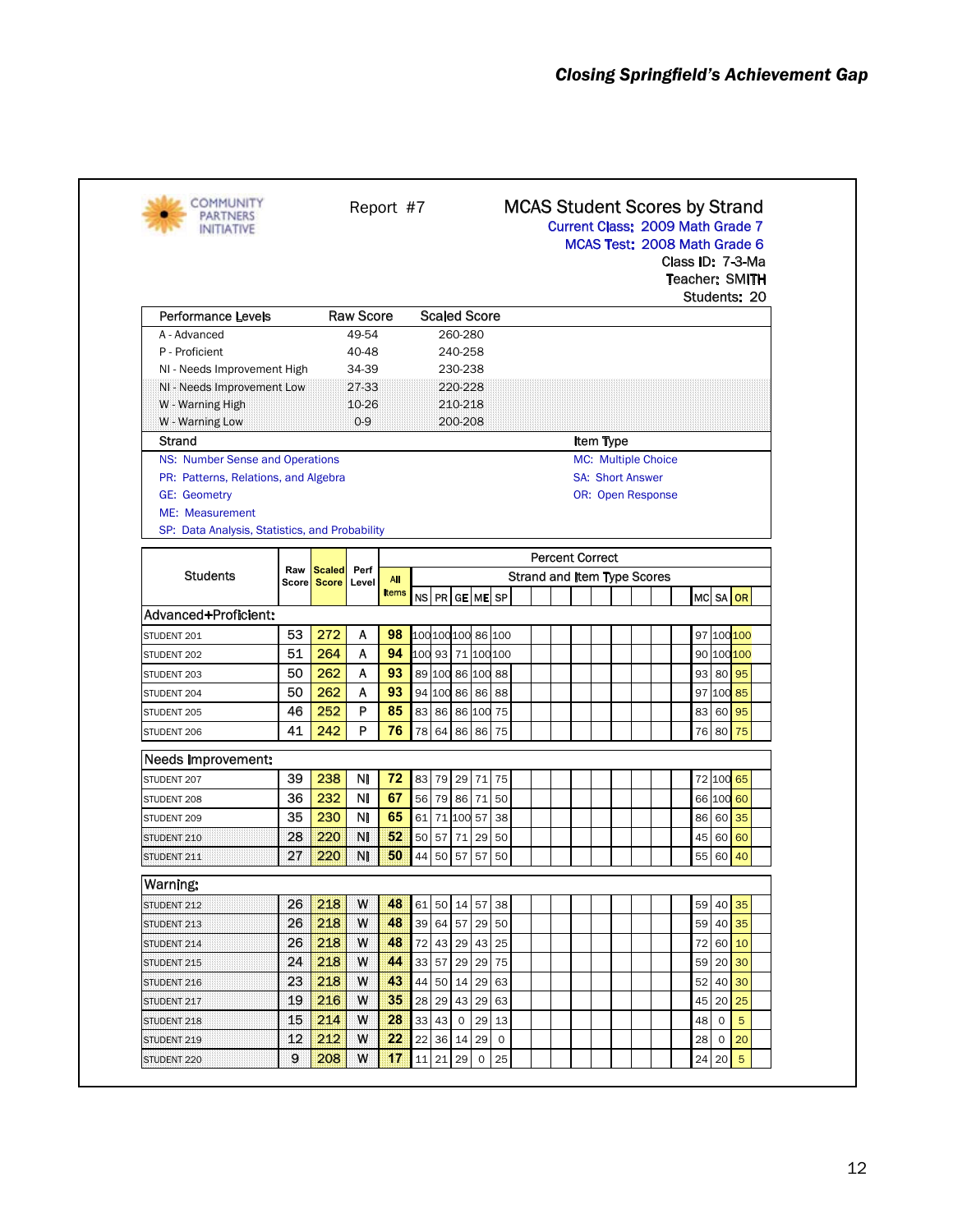| <b>COMMUNITY</b><br>NITIATIVE                                                                         |                     |                               | Report #7        |       |                    |                     |                    |    |             |                                    | <b>MCAS Student Scores by Strand</b><br>Current Class: 2009 Math Grade 7<br>MCAS Test: 2008 Math Grade 6<br>Class ID: 7-3-Ma<br><b>Teacher: SMITH</b><br>Students: 20 |                        |                          |                            |  |  |    |             |                   |  |  |
|-------------------------------------------------------------------------------------------------------|---------------------|-------------------------------|------------------|-------|--------------------|---------------------|--------------------|----|-------------|------------------------------------|-----------------------------------------------------------------------------------------------------------------------------------------------------------------------|------------------------|--------------------------|----------------------------|--|--|----|-------------|-------------------|--|--|
| <b>Performance Levels</b>                                                                             |                     |                               | <b>Raw Score</b> |       |                    | <b>Scaled Score</b> |                    |    |             |                                    |                                                                                                                                                                       |                        |                          |                            |  |  |    |             |                   |  |  |
| A - Advanced                                                                                          |                     |                               | 49-54            |       |                    |                     | 260-280            |    |             |                                    |                                                                                                                                                                       |                        |                          |                            |  |  |    |             |                   |  |  |
| P - Proficient                                                                                        |                     |                               | 40-48            |       |                    |                     | 240-258            |    |             |                                    |                                                                                                                                                                       |                        |                          |                            |  |  |    |             |                   |  |  |
| NI - Needs Improvement High                                                                           |                     |                               | 34-39            |       |                    |                     | 230-238<br>220-228 |    |             |                                    |                                                                                                                                                                       |                        |                          |                            |  |  |    |             |                   |  |  |
| NI - Needs Improvement Low<br>W - Warning High                                                        |                     |                               | 27-33<br>10-26   |       |                    |                     | 210-218            |    |             |                                    |                                                                                                                                                                       |                        |                          |                            |  |  |    |             |                   |  |  |
| W - Warning Low                                                                                       |                     |                               | $0-9$            |       |                    |                     | 200-208            |    |             |                                    |                                                                                                                                                                       |                        |                          |                            |  |  |    |             |                   |  |  |
| Strand                                                                                                |                     |                               |                  |       |                    |                     |                    |    |             |                                    |                                                                                                                                                                       |                        | Item Type                |                            |  |  |    |             |                   |  |  |
| NS: Number Sense and Operations                                                                       |                     |                               |                  |       |                    |                     |                    |    |             |                                    |                                                                                                                                                                       |                        |                          | <b>MC:</b> Multiple Choice |  |  |    |             |                   |  |  |
| PR: Patterns, Relations, and Algebra                                                                  |                     |                               |                  |       |                    |                     |                    |    |             |                                    |                                                                                                                                                                       |                        | <b>SA: Short Answer</b>  |                            |  |  |    |             |                   |  |  |
| <b>GE: Geometry</b>                                                                                   |                     |                               |                  |       |                    |                     |                    |    |             |                                    |                                                                                                                                                                       |                        | <b>OR: Open Response</b> |                            |  |  |    |             |                   |  |  |
| ME: Measurement                                                                                       |                     |                               |                  |       |                    |                     |                    |    |             |                                    |                                                                                                                                                                       |                        |                          |                            |  |  |    |             |                   |  |  |
| SP: Data Analysis, Statistics, and Probability                                                        |                     |                               |                  |       |                    |                     |                    |    |             |                                    |                                                                                                                                                                       |                        |                          |                            |  |  |    |             |                   |  |  |
|                                                                                                       |                     |                               |                  |       |                    |                     |                    |    |             |                                    |                                                                                                                                                                       | <b>Percent Correct</b> |                          |                            |  |  |    |             |                   |  |  |
| <b>Students</b>                                                                                       | Raw<br><b>Score</b> | <b>Scaled</b><br><b>Score</b> | Perf<br>Level    | All   |                    |                     |                    |    |             | <b>Strand and Item Type Scores</b> |                                                                                                                                                                       |                        |                          |                            |  |  |    |             |                   |  |  |
|                                                                                                       |                     |                               |                  | Items |                    | NS PR GE ME SP      |                    |    |             |                                    |                                                                                                                                                                       |                        |                          |                            |  |  |    |             | MC SA OR          |  |  |
| Advanced+Proficient:                                                                                  |                     |                               |                  |       |                    |                     |                    |    |             |                                    |                                                                                                                                                                       |                        |                          |                            |  |  |    |             |                   |  |  |
| STUDENT 201                                                                                           | 53                  | 272                           | A                | 98    | 100 100 100 86 100 |                     |                    |    |             |                                    |                                                                                                                                                                       |                        |                          |                            |  |  |    |             | 97 100 100        |  |  |
| STUDENT 202                                                                                           | 51                  | 264                           | A                | 94    | 100 93 71 100 100  |                     |                    |    |             |                                    |                                                                                                                                                                       |                        |                          |                            |  |  |    |             | 90 100 100        |  |  |
| STUDENT 203                                                                                           | 50                  | 262                           | A                | 93    |                    | 89 100 86 100 88    |                    |    |             |                                    |                                                                                                                                                                       |                        |                          |                            |  |  |    |             | 93 80 95          |  |  |
| STUDENT 204                                                                                           | 50                  | 262                           | A                | 93    |                    | 94 100 86 86 88     |                    |    |             |                                    |                                                                                                                                                                       |                        |                          |                            |  |  |    |             | 97 100 85         |  |  |
| STUDENT 205                                                                                           | 46                  | 252                           | P                | 85    |                    | 83 86 86 100 75     |                    |    |             |                                    |                                                                                                                                                                       |                        |                          |                            |  |  | 83 | 60          | 95                |  |  |
| STUDENT 206                                                                                           | 41                  | 242                           | P                | 76    |                    | 78 64 86 86         |                    |    | 75          |                                    |                                                                                                                                                                       |                        |                          |                            |  |  | 76 | 80          | 75                |  |  |
| Needs Improvement:                                                                                    |                     |                               |                  |       |                    |                     |                    |    |             |                                    |                                                                                                                                                                       |                        |                          |                            |  |  |    |             |                   |  |  |
| STUDENT 207                                                                                           | 39                  | 238                           | ΝI               | 72    |                    | 83 79 29 71 75      |                    |    |             |                                    |                                                                                                                                                                       |                        |                          |                            |  |  |    |             | 72 100 65         |  |  |
| STUDENT 208                                                                                           | 36                  | 232                           | ΝI               | 67    |                    | 56 79 86 71         |                    |    | 50          |                                    |                                                                                                                                                                       |                        |                          |                            |  |  |    |             | 66 100 60         |  |  |
| STUDENT 209                                                                                           | 35                  | 230                           | <b>NI</b>        | 65    |                    | 61 71 100 57        |                    |    | 38          |                                    |                                                                                                                                                                       |                        |                          |                            |  |  | 86 | 60          | 35                |  |  |
| STUDENT 210                                                                                           | 28                  | 220                           | NI               | 52    |                    | 50 57 71 29         |                    |    | 50          |                                    |                                                                                                                                                                       |                        |                          |                            |  |  | 45 | 60          | 60                |  |  |
|                                                                                                       | 27                  | 220                           | NI               | 50    |                    | 44 50 57 57 50      |                    |    |             |                                    |                                                                                                                                                                       |                        |                          |                            |  |  | 55 | 60          | 40                |  |  |
|                                                                                                       |                     |                               |                  |       |                    |                     |                    |    |             |                                    |                                                                                                                                                                       |                        |                          |                            |  |  |    |             |                   |  |  |
| STUDENT 211                                                                                           |                     |                               |                  |       |                    |                     |                    |    |             |                                    |                                                                                                                                                                       |                        |                          |                            |  |  |    |             |                   |  |  |
| warning:                                                                                              |                     |                               |                  |       |                    |                     |                    |    |             |                                    |                                                                                                                                                                       |                        |                          |                            |  |  |    | 59 40       | 35                |  |  |
|                                                                                                       | 26                  | 218                           | W                | 48    |                    | 61 50 14 57 38      |                    |    |             |                                    |                                                                                                                                                                       |                        |                          |                            |  |  |    |             |                   |  |  |
|                                                                                                       | 26                  | 218                           | W                | 48    |                    | 39 64 57 29 50      |                    |    |             |                                    |                                                                                                                                                                       |                        |                          |                            |  |  | 59 |             | 40 35             |  |  |
|                                                                                                       | 26                  | 218                           | W                | 48    |                    | 72 43 29 43 25      |                    |    |             |                                    |                                                                                                                                                                       |                        |                          |                            |  |  | 72 |             | 60 10             |  |  |
|                                                                                                       | 24                  | 218                           | W                | 44    |                    | 33 57 29 29 75      |                    |    |             |                                    |                                                                                                                                                                       |                        |                          |                            |  |  | 59 |             | $20\overline{30}$ |  |  |
|                                                                                                       | 23                  | 218                           | W                | 43    |                    | 44 50 14 29 63      |                    |    |             |                                    |                                                                                                                                                                       |                        |                          |                            |  |  | 52 |             | 40 30             |  |  |
|                                                                                                       | 19                  | 216                           | W                | 35    |                    | 28 29 43 29 63      |                    |    |             |                                    |                                                                                                                                                                       |                        |                          |                            |  |  | 45 | 20          | 25                |  |  |
| STUDENT 212                                                                                           | 15                  | 214                           | W                | 28    |                    | 33 43               | 0                  | 29 | 13          |                                    |                                                                                                                                                                       |                        |                          |                            |  |  | 48 | $\circ$     | 5                 |  |  |
| STUDENT 213<br>STUDENT 214<br>STUDENT 215<br>STUDENT 216<br>STUDENT 217<br>STUDENT 218<br>STUDENT 219 | 12                  | 212                           | W                | 22    |                    | 22 36               | 14                 | 29 | $\mathsf O$ |                                    |                                                                                                                                                                       |                        |                          |                            |  |  | 28 | $\mathbf 0$ | 20                |  |  |

Sample School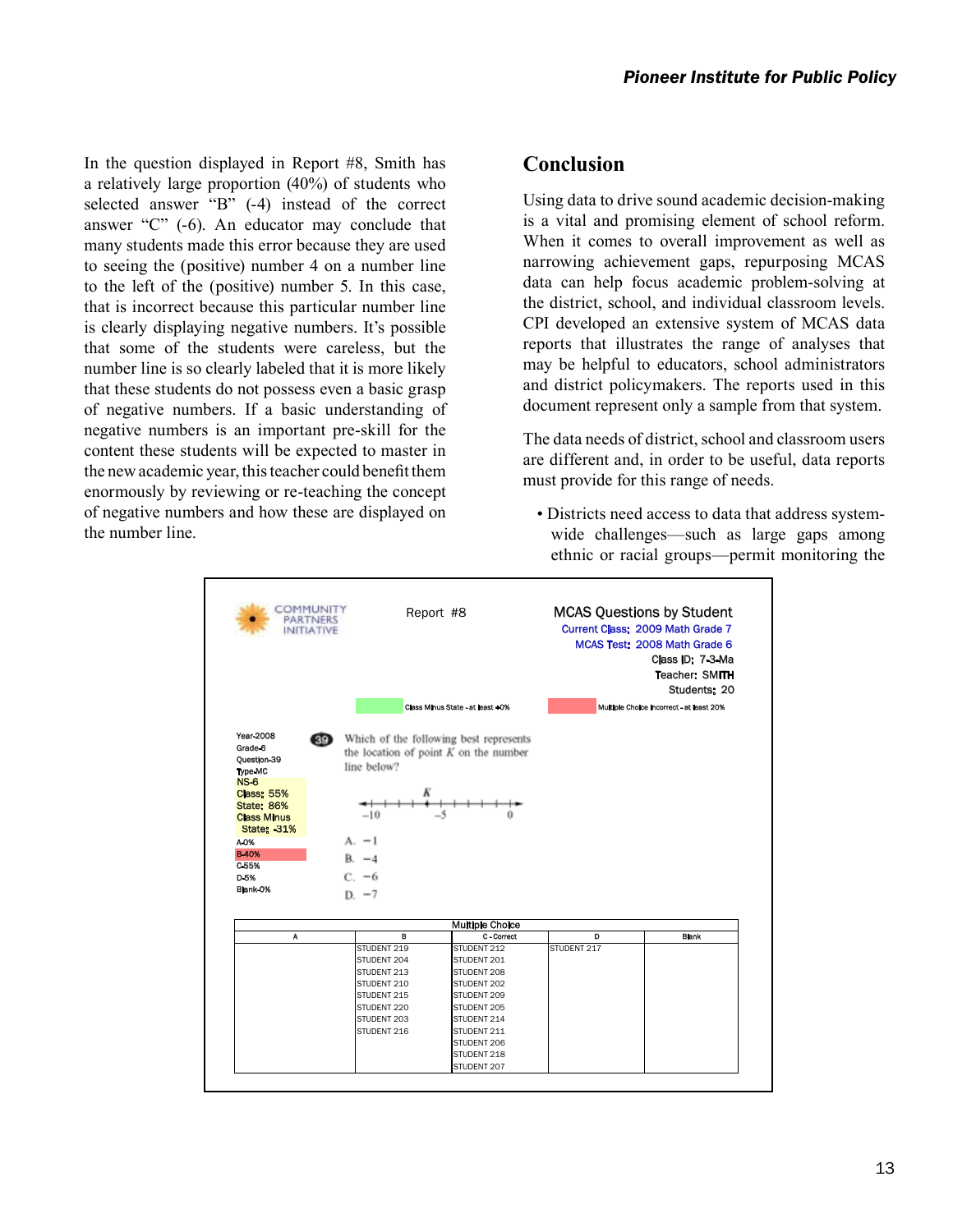In the question displayed in Report #8, Smith has a relatively large proportion (40%) of students who selected answer "B" (-4) instead of the correct answer "C" (-6). An educator may conclude that many students made this error because they are used to seeing the (positive) number 4 on a number line to the left of the (positive) number 5. In this case, that is incorrect because this particular number line is clearly displaying negative numbers. It's possible that some of the students were careless, but the number line is so clearly labeled that it is more likely that these students do not possess even a basic grasp of negative numbers. If a basic understanding of negative numbers is an important pre-skill for the content these students will be expected to master in the new academic year, this teacher could benefit them enormously by reviewing or re-teaching the concept of negative numbers and how these are displayed on the number line.

# **Conclusion**

Using data to drive sound academic decision-making is a vital and promising element of school reform. When it comes to overall improvement as well as narrowing achievement gaps, repurposing MCAS data can help focus academic problem-solving at the district, school, and individual classroom levels. CPI developed an extensive system of MCAS data reports that illustrates the range of analyses that may be helpful to educators, school administrators and district policymakers. The reports used in this document represent only a sample from that system.

The data needs of district, school and classroom users are different and, in order to be useful, data reports must provide for this range of needs.

• Districts need access to data that address systemwide challenges—such as large gaps among ethnic or racial groups—permit monitoring the

| Year-2008<br><b>89</b> Which of the following best represents<br>Grade-6<br>the location of point $K$ on the number<br>Ouestion-39<br>line below?<br><b>Type MC</b><br><b>NS-6</b><br><b>Class: 55%</b><br><b>State: 86%</b><br>$-10$<br><b>Class Minus</b><br><b>State: -31%</b><br>$A. -1$<br>A-0%<br><b>B-40%</b><br>$R = 4$<br>$C-55%$<br>$C. -6$<br>D <sub>5</sub> %<br>Blank-0%<br>$D - 7$<br><b>Multiple Choice</b><br>C - Correct<br>в<br>D<br>A<br>STUDENT 212<br>STUDENT 217<br>STUDENT 219<br>STUDENT 204<br>STUDENT 201<br>STUDENT 213<br>STUDENT 208<br>STUDENT 210<br>STUDENT 202<br>STUDENT 215<br>STUDENT 209 | Current Class: 2009 Math Grade 7<br>MCAS Test: 2008 Math Grade 6<br>Class ID: 7-3-Ma<br><b>Teacher: SMITH</b><br>Students: 20<br>Multiple Choice incorrect - at least 20% |
|-------------------------------------------------------------------------------------------------------------------------------------------------------------------------------------------------------------------------------------------------------------------------------------------------------------------------------------------------------------------------------------------------------------------------------------------------------------------------------------------------------------------------------------------------------------------------------------------------------------------------------|---------------------------------------------------------------------------------------------------------------------------------------------------------------------------|
|                                                                                                                                                                                                                                                                                                                                                                                                                                                                                                                                                                                                                               |                                                                                                                                                                           |
|                                                                                                                                                                                                                                                                                                                                                                                                                                                                                                                                                                                                                               |                                                                                                                                                                           |
|                                                                                                                                                                                                                                                                                                                                                                                                                                                                                                                                                                                                                               |                                                                                                                                                                           |
|                                                                                                                                                                                                                                                                                                                                                                                                                                                                                                                                                                                                                               |                                                                                                                                                                           |
|                                                                                                                                                                                                                                                                                                                                                                                                                                                                                                                                                                                                                               |                                                                                                                                                                           |
|                                                                                                                                                                                                                                                                                                                                                                                                                                                                                                                                                                                                                               |                                                                                                                                                                           |
|                                                                                                                                                                                                                                                                                                                                                                                                                                                                                                                                                                                                                               |                                                                                                                                                                           |
|                                                                                                                                                                                                                                                                                                                                                                                                                                                                                                                                                                                                                               | <b>Blank</b>                                                                                                                                                              |
|                                                                                                                                                                                                                                                                                                                                                                                                                                                                                                                                                                                                                               |                                                                                                                                                                           |
|                                                                                                                                                                                                                                                                                                                                                                                                                                                                                                                                                                                                                               |                                                                                                                                                                           |
|                                                                                                                                                                                                                                                                                                                                                                                                                                                                                                                                                                                                                               |                                                                                                                                                                           |
|                                                                                                                                                                                                                                                                                                                                                                                                                                                                                                                                                                                                                               |                                                                                                                                                                           |
|                                                                                                                                                                                                                                                                                                                                                                                                                                                                                                                                                                                                                               |                                                                                                                                                                           |
| STUDENT 220<br>STUDENT 205                                                                                                                                                                                                                                                                                                                                                                                                                                                                                                                                                                                                    |                                                                                                                                                                           |
| STUDENT 203<br>STUDENT 214                                                                                                                                                                                                                                                                                                                                                                                                                                                                                                                                                                                                    |                                                                                                                                                                           |
| STUDENT 216<br>STUDENT 211                                                                                                                                                                                                                                                                                                                                                                                                                                                                                                                                                                                                    |                                                                                                                                                                           |
| STUDENT 206                                                                                                                                                                                                                                                                                                                                                                                                                                                                                                                                                                                                                   |                                                                                                                                                                           |
| STUDENT 218<br>STUDENT 207                                                                                                                                                                                                                                                                                                                                                                                                                                                                                                                                                                                                    |                                                                                                                                                                           |